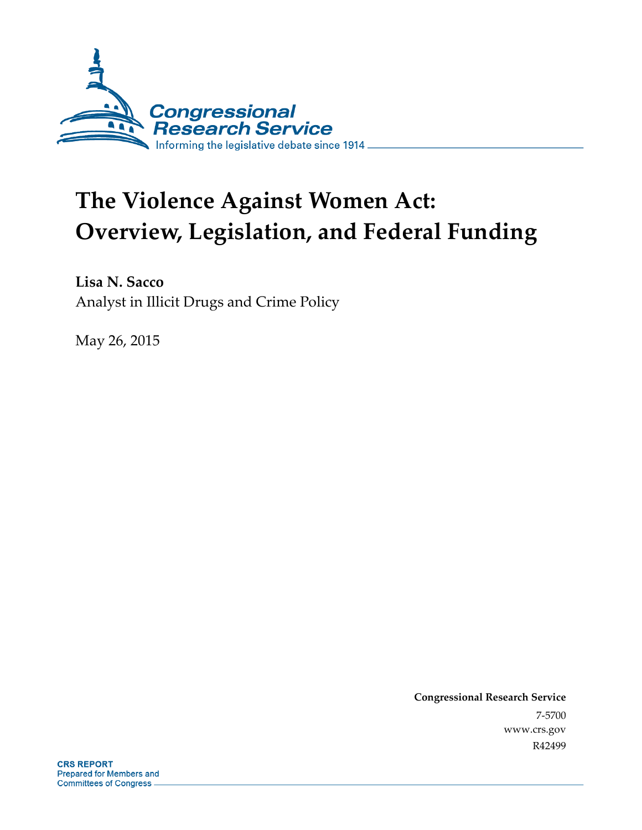

# **The Violence Against Women Act: Overview, Legislation, and Federal Funding**

**Lisa N. Sacco**  Analyst in Illicit Drugs and Crime Policy

May 26, 2015

**Congressional Research Service**  7-5700 www.crs.gov R42499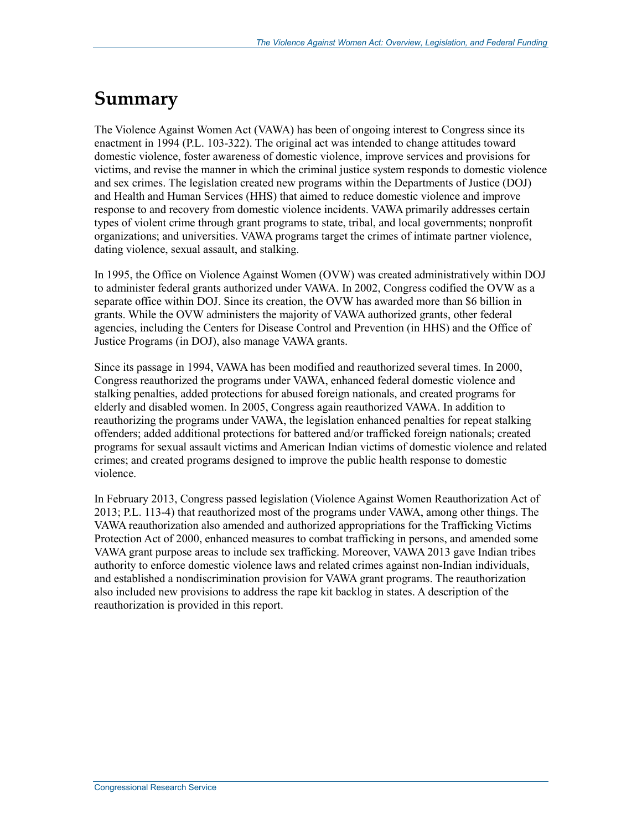## **Summary**

The Violence Against Women Act (VAWA) has been of ongoing interest to Congress since its enactment in 1994 (P.L. 103-322). The original act was intended to change attitudes toward domestic violence, foster awareness of domestic violence, improve services and provisions for victims, and revise the manner in which the criminal justice system responds to domestic violence and sex crimes. The legislation created new programs within the Departments of Justice (DOJ) and Health and Human Services (HHS) that aimed to reduce domestic violence and improve response to and recovery from domestic violence incidents. VAWA primarily addresses certain types of violent crime through grant programs to state, tribal, and local governments; nonprofit organizations; and universities. VAWA programs target the crimes of intimate partner violence, dating violence, sexual assault, and stalking.

In 1995, the Office on Violence Against Women (OVW) was created administratively within DOJ to administer federal grants authorized under VAWA. In 2002, Congress codified the OVW as a separate office within DOJ. Since its creation, the OVW has awarded more than \$6 billion in grants. While the OVW administers the majority of VAWA authorized grants, other federal agencies, including the Centers for Disease Control and Prevention (in HHS) and the Office of Justice Programs (in DOJ), also manage VAWA grants.

Since its passage in 1994, VAWA has been modified and reauthorized several times. In 2000, Congress reauthorized the programs under VAWA, enhanced federal domestic violence and stalking penalties, added protections for abused foreign nationals, and created programs for elderly and disabled women. In 2005, Congress again reauthorized VAWA. In addition to reauthorizing the programs under VAWA, the legislation enhanced penalties for repeat stalking offenders; added additional protections for battered and/or trafficked foreign nationals; created programs for sexual assault victims and American Indian victims of domestic violence and related crimes; and created programs designed to improve the public health response to domestic violence.

In February 2013, Congress passed legislation (Violence Against Women Reauthorization Act of 2013; P.L. 113-4) that reauthorized most of the programs under VAWA, among other things. The VAWA reauthorization also amended and authorized appropriations for the Trafficking Victims Protection Act of 2000, enhanced measures to combat trafficking in persons, and amended some VAWA grant purpose areas to include sex trafficking. Moreover, VAWA 2013 gave Indian tribes authority to enforce domestic violence laws and related crimes against non-Indian individuals, and established a nondiscrimination provision for VAWA grant programs. The reauthorization also included new provisions to address the rape kit backlog in states. A description of the reauthorization is provided in this report.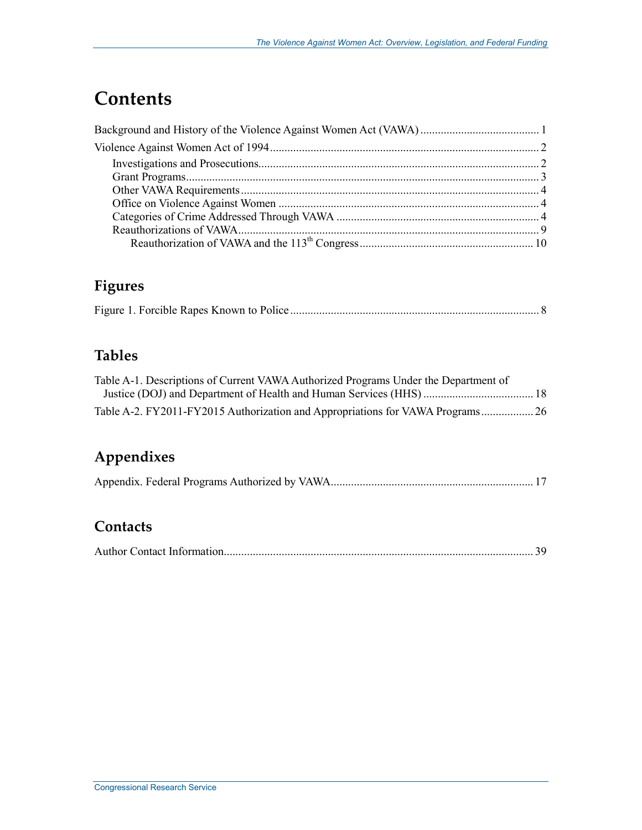## **Contents**

## **Figures**

### **Tables**

| Table A-1. Descriptions of Current VAWA Authorized Programs Under the Department of |  |
|-------------------------------------------------------------------------------------|--|
|                                                                                     |  |
| Table A-2. FY2011-FY2015 Authorization and Appropriations for VAWA Programs 26      |  |

## **Appendixes**

|--|--|--|--|

### **Contacts**

|--|--|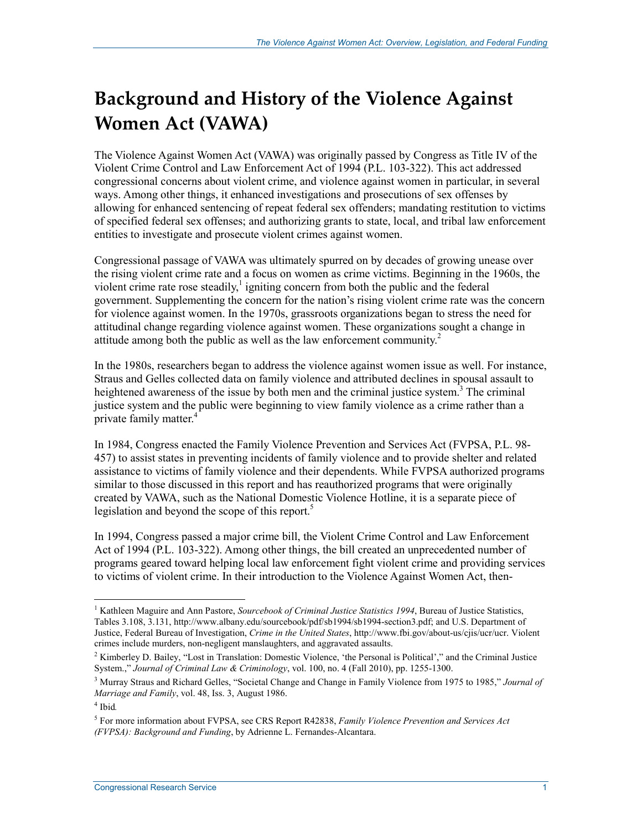# **Background and History of the Violence Against Women Act (VAWA)**

The Violence Against Women Act (VAWA) was originally passed by Congress as Title IV of the Violent Crime Control and Law Enforcement Act of 1994 (P.L. 103-322). This act addressed congressional concerns about violent crime, and violence against women in particular, in several ways. Among other things, it enhanced investigations and prosecutions of sex offenses by allowing for enhanced sentencing of repeat federal sex offenders; mandating restitution to victims of specified federal sex offenses; and authorizing grants to state, local, and tribal law enforcement entities to investigate and prosecute violent crimes against women.

Congressional passage of VAWA was ultimately spurred on by decades of growing unease over the rising violent crime rate and a focus on women as crime victims. Beginning in the 1960s, the violent crime rate rose steadily, $\frac{1}{2}$  igniting concern from both the public and the federal government. Supplementing the concern for the nation's rising violent crime rate was the concern for violence against women. In the 1970s, grassroots organizations began to stress the need for attitudinal change regarding violence against women. These organizations sought a change in attitude among both the public as well as the law enforcement community.<sup>2</sup>

In the 1980s, researchers began to address the violence against women issue as well. For instance, Straus and Gelles collected data on family violence and attributed declines in spousal assault to heightened awareness of the issue by both men and the criminal justice system.<sup>3</sup> The criminal justice system and the public were beginning to view family violence as a crime rather than a private family matter.<sup>4</sup>

In 1984, Congress enacted the Family Violence Prevention and Services Act (FVPSA, P.L. 98- 457) to assist states in preventing incidents of family violence and to provide shelter and related assistance to victims of family violence and their dependents. While FVPSA authorized programs similar to those discussed in this report and has reauthorized programs that were originally created by VAWA, such as the National Domestic Violence Hotline, it is a separate piece of legislation and beyond the scope of this report.<sup>5</sup>

In 1994, Congress passed a major crime bill, the Violent Crime Control and Law Enforcement Act of 1994 (P.L. 103-322). Among other things, the bill created an unprecedented number of programs geared toward helping local law enforcement fight violent crime and providing services to victims of violent crime. In their introduction to the Violence Against Women Act, then-

<u>.</u>

<sup>&</sup>lt;sup>1</sup> Kathleen Maguire and Ann Pastore, *Sourcebook of Criminal Justice Statistics 1994*, Bureau of Justice Statistics, Tables 3.108, 3.131, http://www.albany.edu/sourcebook/pdf/sb1994/sb1994-section3.pdf; and U.S. Department of Justice, Federal Bureau of Investigation, *Crime in the United States*, http://www.fbi.gov/about-us/cjis/ucr/ucr. Violent crimes include murders, non-negligent manslaughters, and aggravated assaults.

<sup>&</sup>lt;sup>2</sup> Kimberley D. Bailey, "Lost in Translation: Domestic Violence, 'the Personal is Political'," and the Criminal Justice System.," *Journal of Criminal Law & Criminology*, vol. 100, no. 4 (Fall 2010), pp. 1255-1300.

<sup>3</sup> Murray Straus and Richard Gelles, "Societal Change and Change in Family Violence from 1975 to 1985," *Journal of Marriage and Family*, vol. 48, Iss. 3, August 1986.

<sup>4</sup> Ibid*.*

<sup>5</sup> For more information about FVPSA, see CRS Report R42838, *Family Violence Prevention and Services Act (FVPSA): Background and Funding*, by Adrienne L. Fernandes-Alcantara.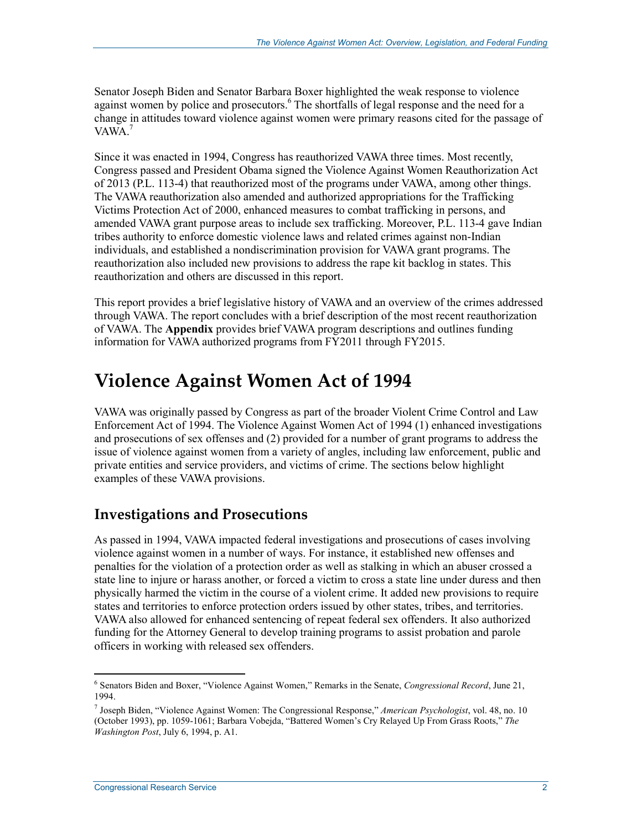Senator Joseph Biden and Senator Barbara Boxer highlighted the weak response to violence against women by police and prosecutors.<sup>6</sup> The shortfalls of legal response and the need for a change in attitudes toward violence against women were primary reasons cited for the passage of VAWA.<sup>7</sup>

Since it was enacted in 1994, Congress has reauthorized VAWA three times. Most recently, Congress passed and President Obama signed the Violence Against Women Reauthorization Act of 2013 (P.L. 113-4) that reauthorized most of the programs under VAWA, among other things. The VAWA reauthorization also amended and authorized appropriations for the Trafficking Victims Protection Act of 2000, enhanced measures to combat trafficking in persons, and amended VAWA grant purpose areas to include sex trafficking. Moreover, P.L. 113-4 gave Indian tribes authority to enforce domestic violence laws and related crimes against non-Indian individuals, and established a nondiscrimination provision for VAWA grant programs. The reauthorization also included new provisions to address the rape kit backlog in states. This reauthorization and others are discussed in this report.

This report provides a brief legislative history of VAWA and an overview of the crimes addressed through VAWA. The report concludes with a brief description of the most recent reauthorization of VAWA. The **Appendix** provides brief VAWA program descriptions and outlines funding information for VAWA authorized programs from FY2011 through FY2015.

## **Violence Against Women Act of 1994**

VAWA was originally passed by Congress as part of the broader Violent Crime Control and Law Enforcement Act of 1994. The Violence Against Women Act of 1994 (1) enhanced investigations and prosecutions of sex offenses and (2) provided for a number of grant programs to address the issue of violence against women from a variety of angles, including law enforcement, public and private entities and service providers, and victims of crime. The sections below highlight examples of these VAWA provisions.

### **Investigations and Prosecutions**

As passed in 1994, VAWA impacted federal investigations and prosecutions of cases involving violence against women in a number of ways. For instance, it established new offenses and penalties for the violation of a protection order as well as stalking in which an abuser crossed a state line to injure or harass another, or forced a victim to cross a state line under duress and then physically harmed the victim in the course of a violent crime. It added new provisions to require states and territories to enforce protection orders issued by other states, tribes, and territories. VAWA also allowed for enhanced sentencing of repeat federal sex offenders. It also authorized funding for the Attorney General to develop training programs to assist probation and parole officers in working with released sex offenders.

<sup>6</sup> Senators Biden and Boxer, "Violence Against Women," Remarks in the Senate, *Congressional Record*, June 21, 1994.

<sup>7</sup> Joseph Biden, "Violence Against Women: The Congressional Response," *American Psychologist*, vol. 48, no. 10 (October 1993), pp. 1059-1061; Barbara Vobejda, "Battered Women's Cry Relayed Up From Grass Roots," *The Washington Post*, July 6, 1994, p. A1.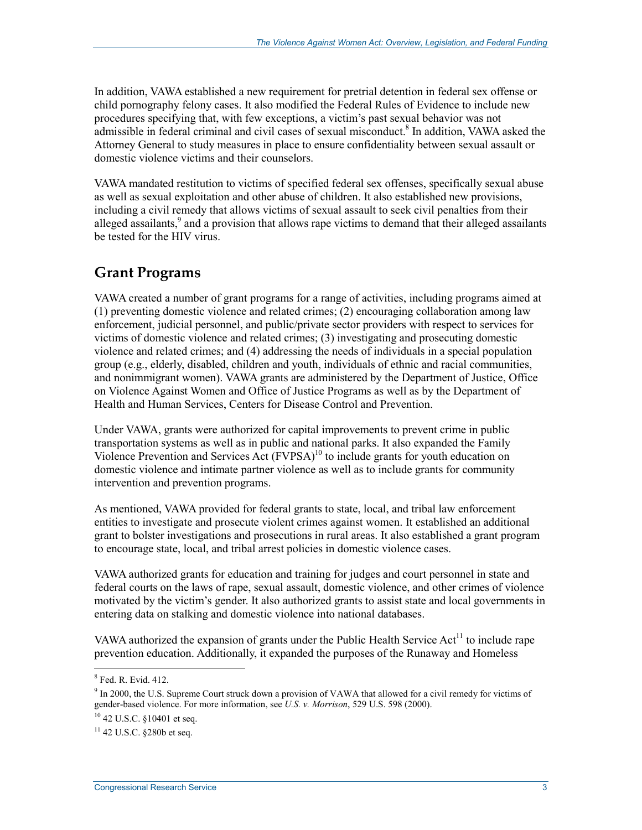In addition, VAWA established a new requirement for pretrial detention in federal sex offense or child pornography felony cases. It also modified the Federal Rules of Evidence to include new procedures specifying that, with few exceptions, a victim's past sexual behavior was not admissible in federal criminal and civil cases of sexual misconduct.<sup>8</sup> In addition, VAWA asked the Attorney General to study measures in place to ensure confidentiality between sexual assault or domestic violence victims and their counselors.

VAWA mandated restitution to victims of specified federal sex offenses, specifically sexual abuse as well as sexual exploitation and other abuse of children. It also established new provisions, including a civil remedy that allows victims of sexual assault to seek civil penalties from their alleged assailants,<sup>9</sup> and a provision that allows rape victims to demand that their alleged assailants be tested for the HIV virus.

### **Grant Programs**

VAWA created a number of grant programs for a range of activities, including programs aimed at (1) preventing domestic violence and related crimes; (2) encouraging collaboration among law enforcement, judicial personnel, and public/private sector providers with respect to services for victims of domestic violence and related crimes; (3) investigating and prosecuting domestic violence and related crimes; and (4) addressing the needs of individuals in a special population group (e.g., elderly, disabled, children and youth, individuals of ethnic and racial communities, and nonimmigrant women). VAWA grants are administered by the Department of Justice, Office on Violence Against Women and Office of Justice Programs as well as by the Department of Health and Human Services, Centers for Disease Control and Prevention.

Under VAWA, grants were authorized for capital improvements to prevent crime in public transportation systems as well as in public and national parks. It also expanded the Family Violence Prevention and Services  $\text{Act}$  (FVPSA)<sup>10</sup> to include grants for youth education on domestic violence and intimate partner violence as well as to include grants for community intervention and prevention programs.

As mentioned, VAWA provided for federal grants to state, local, and tribal law enforcement entities to investigate and prosecute violent crimes against women. It established an additional grant to bolster investigations and prosecutions in rural areas. It also established a grant program to encourage state, local, and tribal arrest policies in domestic violence cases.

VAWA authorized grants for education and training for judges and court personnel in state and federal courts on the laws of rape, sexual assault, domestic violence, and other crimes of violence motivated by the victim's gender. It also authorized grants to assist state and local governments in entering data on stalking and domestic violence into national databases.

VAWA authorized the expansion of grants under the Public Health Service  $Act<sup>11</sup>$  to include rape prevention education. Additionally, it expanded the purposes of the Runaway and Homeless

<u>.</u>

<sup>8</sup> Fed. R. Evid. 412.

<sup>&</sup>lt;sup>9</sup> In 2000, the U.S. Supreme Court struck down a provision of VAWA that allowed for a civil remedy for victims of gender-based violence. For more information, see *U.S. v. Morrison*, 529 U.S. 598 (2000).

<sup>10 42</sup> U.S.C. §10401 et seq.

 $11$  42 U.S.C. §280b et seq.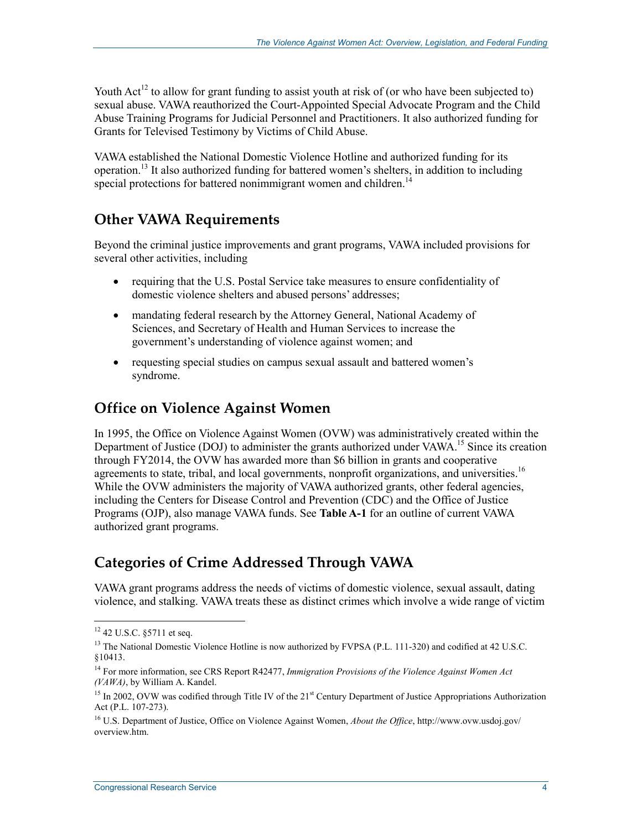Youth Act<sup>12</sup> to allow for grant funding to assist youth at risk of (or who have been subjected to) sexual abuse. VAWA reauthorized the Court-Appointed Special Advocate Program and the Child Abuse Training Programs for Judicial Personnel and Practitioners. It also authorized funding for Grants for Televised Testimony by Victims of Child Abuse.

VAWA established the National Domestic Violence Hotline and authorized funding for its operation.13 It also authorized funding for battered women's shelters, in addition to including special protections for battered nonimmigrant women and children.<sup>14</sup>

### **Other VAWA Requirements**

Beyond the criminal justice improvements and grant programs, VAWA included provisions for several other activities, including

- requiring that the U.S. Postal Service take measures to ensure confidentiality of domestic violence shelters and abused persons' addresses;
- mandating federal research by the Attorney General, National Academy of Sciences, and Secretary of Health and Human Services to increase the government's understanding of violence against women; and
- requesting special studies on campus sexual assault and battered women's syndrome.

### **Office on Violence Against Women**

In 1995, the Office on Violence Against Women (OVW) was administratively created within the Department of Justice (DOJ) to administer the grants authorized under VAWA.<sup>15</sup> Since its creation through FY2014, the OVW has awarded more than \$6 billion in grants and cooperative agreements to state, tribal, and local governments, nonprofit organizations, and universities.<sup>16</sup> While the OVW administers the majority of VAWA authorized grants, other federal agencies, including the Centers for Disease Control and Prevention (CDC) and the Office of Justice Programs (OJP), also manage VAWA funds. See **Table A-1** for an outline of current VAWA authorized grant programs.

### **Categories of Crime Addressed Through VAWA**

VAWA grant programs address the needs of victims of domestic violence, sexual assault, dating violence, and stalking. VAWA treats these as distinct crimes which involve a wide range of victim

<sup>&</sup>lt;sup>12</sup> 42 U.S.C. §5711 et seq.

<sup>&</sup>lt;sup>13</sup> The National Domestic Violence Hotline is now authorized by FVPSA (P.L. 111-320) and codified at 42 U.S.C. §10413.

<sup>14</sup> For more information, see CRS Report R42477, *Immigration Provisions of the Violence Against Women Act (VAWA)*, by William A. Kandel.

 $15$  In 2002, OVW was codified through Title IV of the 21st Century Department of Justice Appropriations Authorization Act (P.L. 107-273).

<sup>16</sup> U.S. Department of Justice, Office on Violence Against Women, *About the Office*, http://www.ovw.usdoj.gov/ overview.htm.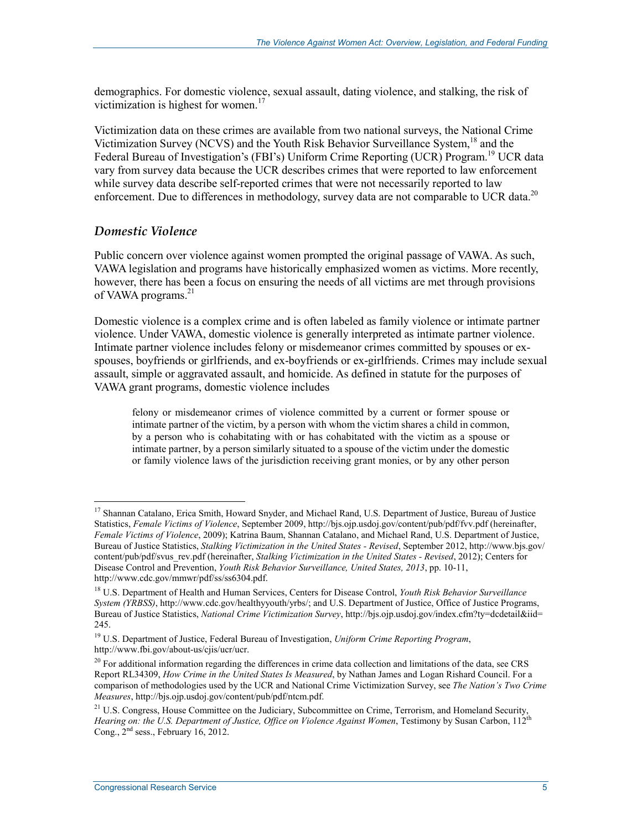demographics. For domestic violence, sexual assault, dating violence, and stalking, the risk of victimization is highest for women.<sup>17</sup>

Victimization data on these crimes are available from two national surveys, the National Crime Victimization Survey (NCVS) and the Youth Risk Behavior Surveillance System,<sup>18</sup> and the Federal Bureau of Investigation's (FBI's) Uniform Crime Reporting (UCR) Program.<sup>19</sup> UCR data vary from survey data because the UCR describes crimes that were reported to law enforcement while survey data describe self-reported crimes that were not necessarily reported to law enforcement. Due to differences in methodology, survey data are not comparable to UCR data.<sup>20</sup>

#### *Domestic Violence*

1

Public concern over violence against women prompted the original passage of VAWA. As such, VAWA legislation and programs have historically emphasized women as victims. More recently, however, there has been a focus on ensuring the needs of all victims are met through provisions of VAWA programs. $^{21}$ 

Domestic violence is a complex crime and is often labeled as family violence or intimate partner violence. Under VAWA, domestic violence is generally interpreted as intimate partner violence. Intimate partner violence includes felony or misdemeanor crimes committed by spouses or exspouses, boyfriends or girlfriends, and ex-boyfriends or ex-girlfriends. Crimes may include sexual assault, simple or aggravated assault, and homicide. As defined in statute for the purposes of VAWA grant programs, domestic violence includes

felony or misdemeanor crimes of violence committed by a current or former spouse or intimate partner of the victim, by a person with whom the victim shares a child in common, by a person who is cohabitating with or has cohabitated with the victim as a spouse or intimate partner, by a person similarly situated to a spouse of the victim under the domestic or family violence laws of the jurisdiction receiving grant monies, or by any other person

<sup>&</sup>lt;sup>17</sup> Shannan Catalano, Erica Smith, Howard Snyder, and Michael Rand, U.S. Department of Justice, Bureau of Justice Statistics, *Female Victims of Violence*, September 2009, http://bjs.ojp.usdoj.gov/content/pub/pdf/fvv.pdf (hereinafter, *Female Victims of Violence*, 2009); Katrina Baum, Shannan Catalano, and Michael Rand, U.S. Department of Justice, Bureau of Justice Statistics, *Stalking Victimization in the United States - Revised*, September 2012, http://www.bjs.gov/ content/pub/pdf/svus\_rev.pdf (hereinafter, *Stalking Victimization in the United States - Revised*, 2012); Centers for Disease Control and Prevention, *Youth Risk Behavior Surveillance, United States, 2013*, pp. 10-11, http://www.cdc.gov/mmwr/pdf/ss/ss6304.pdf.

<sup>18</sup> U.S. Department of Health and Human Services, Centers for Disease Control, *Youth Risk Behavior Surveillance System (YRBSS)*, http://www.cdc.gov/healthyyouth/yrbs/; and U.S. Department of Justice, Office of Justice Programs, Bureau of Justice Statistics, *National Crime Victimization Survey*, http://bjs.ojp.usdoj.gov/index.cfm?ty=dcdetail&iid= 245.

<sup>19</sup> U.S. Department of Justice, Federal Bureau of Investigation, *Uniform Crime Reporting Program*, http://www.fbi.gov/about-us/cjis/ucr/ucr.

 $20$  For additional information regarding the differences in crime data collection and limitations of the data, see CRS Report RL34309, *How Crime in the United States Is Measured*, by Nathan James and Logan Rishard Council. For a comparison of methodologies used by the UCR and National Crime Victimization Survey, see *The Nation's Two Crime Measures*, http://bjs.ojp.usdoj.gov/content/pub/pdf/ntcm.pdf.

<sup>&</sup>lt;sup>21</sup> U.S. Congress, House Committee on the Judiciary, Subcommittee on Crime, Terrorism, and Homeland Security, *Hearing on: the U.S. Department of Justice, Office on Violence Against Women*, Testimony by Susan Carbon, 112<sup>th</sup> Cong.,  $2<sup>nd</sup>$  sess., February 16, 2012.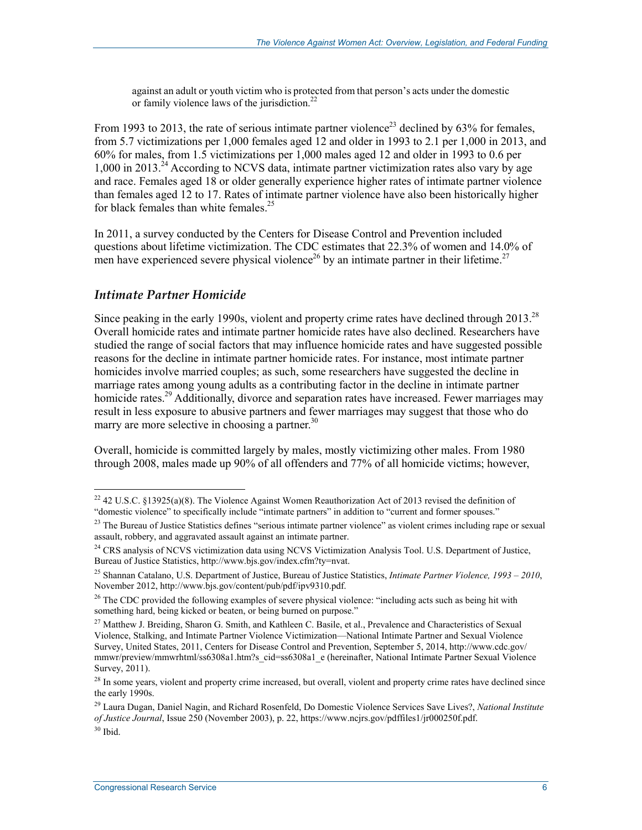against an adult or youth victim who is protected from that person's acts under the domestic or family violence laws of the jurisdiction.<sup>22</sup>

From 1993 to 2013, the rate of serious intimate partner violence<sup>23</sup> declined by 63% for females, from 5.7 victimizations per 1,000 females aged 12 and older in 1993 to 2.1 per 1,000 in 2013, and 60% for males, from 1.5 victimizations per 1,000 males aged 12 and older in 1993 to 0.6 per 1,000 in 2013.24 According to NCVS data, intimate partner victimization rates also vary by age and race. Females aged 18 or older generally experience higher rates of intimate partner violence than females aged 12 to 17. Rates of intimate partner violence have also been historically higher for black females than white females.<sup>25</sup>

In 2011, a survey conducted by the Centers for Disease Control and Prevention included questions about lifetime victimization. The CDC estimates that 22.3% of women and 14.0% of men have experienced severe physical violence<sup>26</sup> by an intimate partner in their lifetime.<sup>27</sup>

### *Intimate Partner Homicide*

Since peaking in the early 1990s, violent and property crime rates have declined through 2013.<sup>28</sup> Overall homicide rates and intimate partner homicide rates have also declined. Researchers have studied the range of social factors that may influence homicide rates and have suggested possible reasons for the decline in intimate partner homicide rates. For instance, most intimate partner homicides involve married couples; as such, some researchers have suggested the decline in marriage rates among young adults as a contributing factor in the decline in intimate partner homicide rates.<sup>29</sup> Additionally, divorce and separation rates have increased. Fewer marriages may result in less exposure to abusive partners and fewer marriages may suggest that those who do marry are more selective in choosing a partner.<sup>30</sup>

Overall, homicide is committed largely by males, mostly victimizing other males. From 1980 through 2008, males made up 90% of all offenders and 77% of all homicide victims; however,

<sup>&</sup>lt;sup>22</sup> 42 U.S.C. §13925(a)(8). The Violence Against Women Reauthorization Act of 2013 revised the definition of "domestic violence" to specifically include "intimate partners" in addition to "current and former spouses."

<sup>&</sup>lt;sup>23</sup> The Bureau of Justice Statistics defines "serious intimate partner violence" as violent crimes including rape or sexual assault, robbery, and aggravated assault against an intimate partner.

<sup>&</sup>lt;sup>24</sup> CRS analysis of NCVS victimization data using NCVS Victimization Analysis Tool. U.S. Department of Justice, Bureau of Justice Statistics, http://www.bjs.gov/index.cfm?ty=nvat.

<sup>25</sup> Shannan Catalano, U.S. Department of Justice, Bureau of Justice Statistics, *Intimate Partner Violence, 1993 – 2010*, November 2012, http://www.bjs.gov/content/pub/pdf/ipv9310.pdf.

<sup>&</sup>lt;sup>26</sup> The CDC provided the following examples of severe physical violence: "including acts such as being hit with something hard, being kicked or beaten, or being burned on purpose."

<sup>&</sup>lt;sup>27</sup> Matthew J. Breiding, Sharon G. Smith, and Kathleen C. Basile, et al., Prevalence and Characteristics of Sexual Violence, Stalking, and Intimate Partner Violence Victimization—National Intimate Partner and Sexual Violence Survey, United States, 2011, Centers for Disease Control and Prevention, September 5, 2014, http://www.cdc.gov/ mmwr/preview/mmwrhtml/ss6308a1.htm?s\_cid=ss6308a1\_e (hereinafter, National Intimate Partner Sexual Violence Survey, 2011).

 $28$  In some years, violent and property crime increased, but overall, violent and property crime rates have declined since the early 1990s.

<sup>29</sup> Laura Dugan, Daniel Nagin, and Richard Rosenfeld, Do Domestic Violence Services Save Lives?, *National Institute of Justice Journal*, Issue 250 (November 2003), p. 22, https://www.ncjrs.gov/pdffiles1/jr000250f.pdf.

 $30$  Ibid.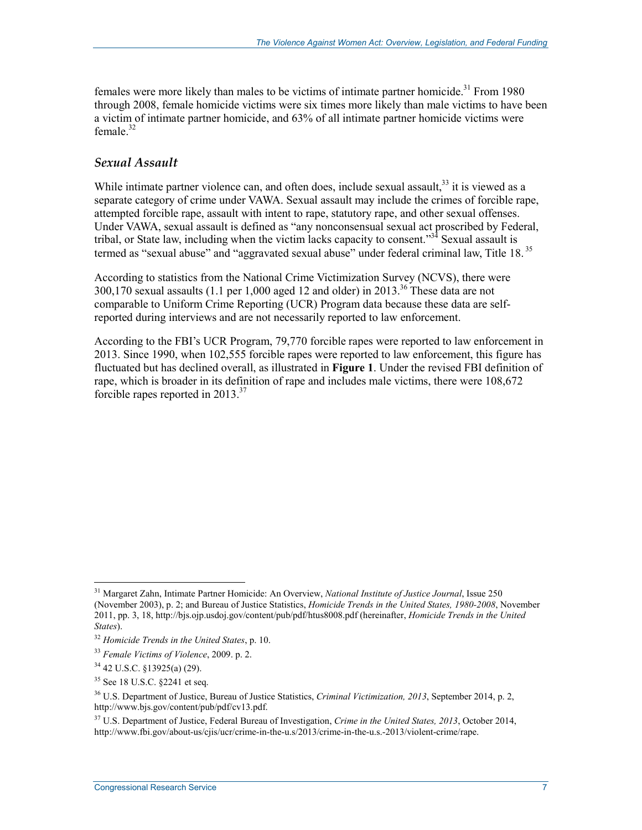females were more likely than males to be victims of intimate partner homicide.<sup>31</sup> From 1980 through 2008, female homicide victims were six times more likely than male victims to have been a victim of intimate partner homicide, and 63% of all intimate partner homicide victims were female $32$ 

### *Sexual Assault*

While intimate partner violence can, and often does, include sexual assault, $33$  it is viewed as a separate category of crime under VAWA. Sexual assault may include the crimes of forcible rape, attempted forcible rape, assault with intent to rape, statutory rape, and other sexual offenses. Under VAWA, sexual assault is defined as "any nonconsensual sexual act proscribed by Federal, tribal, or State law, including when the victim lacks capacity to consent.<sup>334</sup> Sexual assault is termed as "sexual abuse" and "aggravated sexual abuse" under federal criminal law, Title 18.<sup>35</sup>

According to statistics from the National Crime Victimization Survey (NCVS), there were 300,170 sexual assaults (1.1 per 1,000 aged 12 and older) in 2013.<sup>36</sup> These data are not comparable to Uniform Crime Reporting (UCR) Program data because these data are selfreported during interviews and are not necessarily reported to law enforcement.

According to the FBI's UCR Program, 79,770 forcible rapes were reported to law enforcement in 2013. Since 1990, when 102,555 forcible rapes were reported to law enforcement, this figure has fluctuated but has declined overall, as illustrated in **Figure 1**. Under the revised FBI definition of rape, which is broader in its definition of rape and includes male victims, there were 108,672 forcible rapes reported in  $2013^{37}$ 

<sup>31</sup> Margaret Zahn, Intimate Partner Homicide: An Overview, *National Institute of Justice Journal*, Issue 250 (November 2003), p. 2; and Bureau of Justice Statistics, *Homicide Trends in the United States, 1980-2008*, November 2011, pp. 3, 18, http://bjs.ojp.usdoj.gov/content/pub/pdf/htus8008.pdf (hereinafter, *Homicide Trends in the United States*).

<sup>32</sup> *Homicide Trends in the United States*, p. 10.

<sup>33</sup> *Female Victims of Violence*, 2009. p. 2.

<sup>34 42</sup> U.S.C. §13925(a) (29).

<sup>35</sup> See 18 U.S.C. §2241 et seq.

<sup>36</sup> U.S. Department of Justice, Bureau of Justice Statistics, *Criminal Victimization, 2013*, September 2014, p. 2, http://www.bjs.gov/content/pub/pdf/cv13.pdf.

<sup>37</sup> U.S. Department of Justice, Federal Bureau of Investigation, *Crime in the United States, 2013*, October 2014, http://www.fbi.gov/about-us/cjis/ucr/crime-in-the-u.s/2013/crime-in-the-u.s.-2013/violent-crime/rape.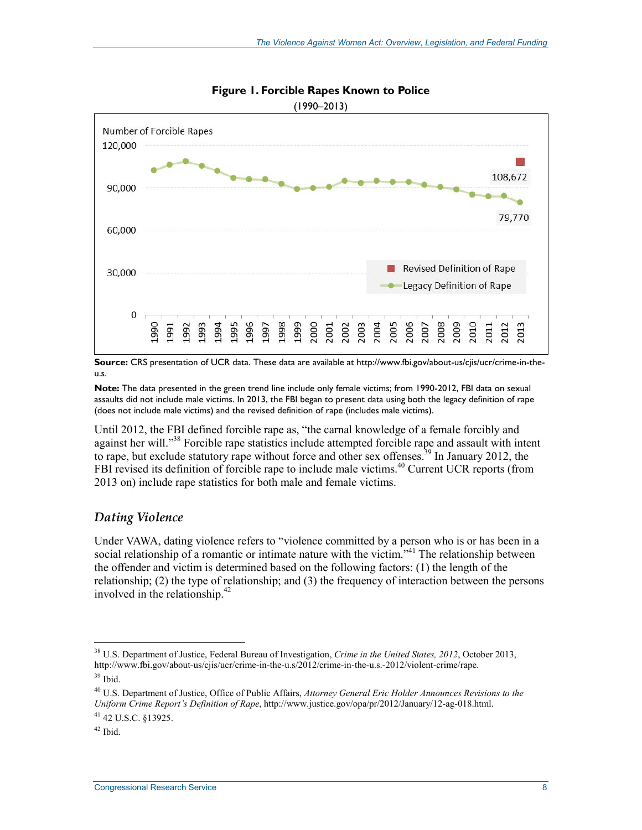

**Figure 1. Forcible Rapes Known to Police** 

**Source:** CRS presentation of UCR data. These data are available at http://www.fbi.gov/about-us/cjis/ucr/crime-in-theu.s.

**Note:** The data presented in the green trend line include only female victims; from 1990-2012, FBI data on sexual assaults did not include male victims. In 2013, the FBI began to present data using both the legacy definition of rape (does not include male victims) and the revised definition of rape (includes male victims).

Until 2012, the FBI defined forcible rape as, "the carnal knowledge of a female forcibly and against her will."<sup>38</sup> Forcible rape statistics include attempted forcible rape and assault with intent to rape, but exclude statutory rape without force and other sex offenses.<sup>39</sup> In January 2012, the FBI revised its definition of forcible rape to include male victims.<sup>40</sup> Current UCR reports (from 2013 on) include rape statistics for both male and female victims.

### *Dating Violence*

Under VAWA, dating violence refers to "violence committed by a person who is or has been in a social relationship of a romantic or intimate nature with the victim. $14$ <sup>1</sup> The relationship between the offender and victim is determined based on the following factors: (1) the length of the relationship; (2) the type of relationship; and (3) the frequency of interaction between the persons involved in the relationship.42

<sup>38</sup> U.S. Department of Justice, Federal Bureau of Investigation, *Crime in the United States, 2012*, October 2013, http://www.fbi.gov/about-us/cjis/ucr/crime-in-the-u.s/2012/crime-in-the-u.s.-2012/violent-crime/rape.  $39$  Ibid.

<sup>40</sup> U.S. Department of Justice, Office of Public Affairs, *Attorney General Eric Holder Announces Revisions to the Uniform Crime Report's Definition of Rape*, http://www.justice.gov/opa/pr/2012/January/12-ag-018.html. 41 42 U.S.C. §13925.

 $42$  Ibid.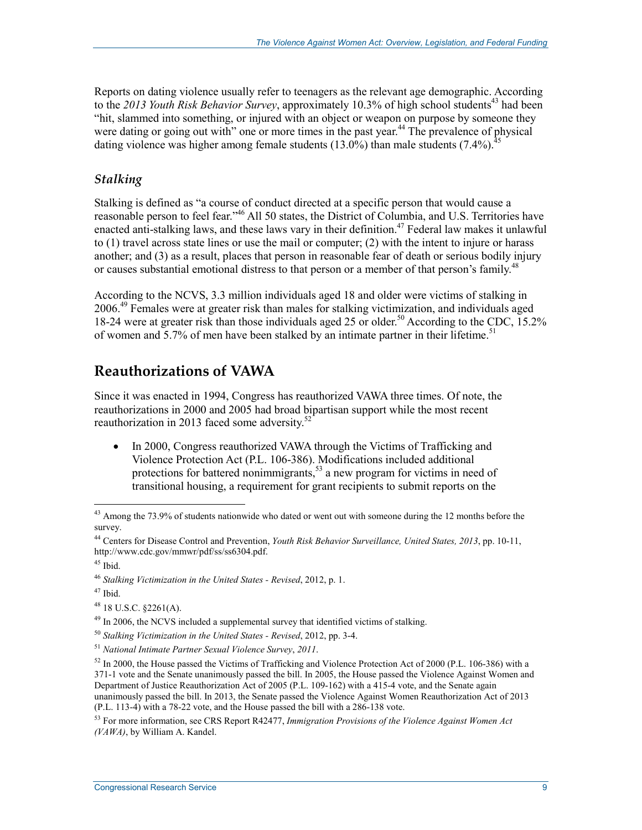Reports on dating violence usually refer to teenagers as the relevant age demographic. According to the 2013 Youth Risk Behavior Survey, approximately 10.3% of high school students<sup>43</sup> had been "hit, slammed into something, or injured with an object or weapon on purpose by someone they were dating or going out with" one or more times in the past year.<sup>44</sup> The prevalence of physical dating violence was higher among female students  $(13.0\%)$  than male students  $(7.4\%)$ .<sup>4</sup>

### *Stalking*

Stalking is defined as "a course of conduct directed at a specific person that would cause a reasonable person to feel fear.<sup>746</sup> All 50 states, the District of Columbia, and U.S. Territories have enacted anti-stalking laws, and these laws vary in their definition.<sup>47</sup> Federal law makes it unlawful to (1) travel across state lines or use the mail or computer; (2) with the intent to injure or harass another; and (3) as a result, places that person in reasonable fear of death or serious bodily injury or causes substantial emotional distress to that person or a member of that person's family.<sup>48</sup>

According to the NCVS, 3.3 million individuals aged 18 and older were victims of stalking in 2006.<sup>49</sup> Females were at greater risk than males for stalking victimization, and individuals aged 18-24 were at greater risk than those individuals aged 25 or older.<sup>50</sup> According to the CDC, 15.2% of women and  $5.7\%$  of men have been stalked by an intimate partner in their lifetime.<sup>51</sup>

### **Reauthorizations of VAWA**

Since it was enacted in 1994, Congress has reauthorized VAWA three times. Of note, the reauthorizations in 2000 and 2005 had broad bipartisan support while the most recent reauthorization in 2013 faced some adversity.<sup>52</sup>

• In 2000, Congress reauthorized VAWA through the Victims of Trafficking and Violence Protection Act (P.L. 106-386). Modifications included additional protections for battered nonimmigrants,  $5<sup>3</sup>$  a new program for victims in need of transitional housing, a requirement for grant recipients to submit reports on the

 $43$  Among the 73.9% of students nationwide who dated or went out with someone during the 12 months before the survey.

<sup>44</sup> Centers for Disease Control and Prevention, *Youth Risk Behavior Surveillance, United States, 2013*, pp. 10-11, http://www.cdc.gov/mmwr/pdf/ss/ss6304.pdf.

 $45$  Ibid.

<sup>46</sup> *Stalking Victimization in the United States - Revised*, 2012, p. 1.

<sup>47</sup> Ibid.

<sup>48 18</sup> U.S.C. §2261(A).

<sup>&</sup>lt;sup>49</sup> In 2006, the NCVS included a supplemental survey that identified victims of stalking.

<sup>50</sup> *Stalking Victimization in the United States - Revised*, 2012, pp. 3-4.

<sup>51</sup> *National Intimate Partner Sexual Violence Survey*, *2011*.

 $52$  In 2000, the House passed the Victims of Trafficking and Violence Protection Act of 2000 (P.L. 106-386) with a 371-1 vote and the Senate unanimously passed the bill. In 2005, the House passed the Violence Against Women and Department of Justice Reauthorization Act of 2005 (P.L. 109-162) with a 415-4 vote, and the Senate again unanimously passed the bill. In 2013, the Senate passed the Violence Against Women Reauthorization Act of 2013 (P.L. 113-4) with a 78-22 vote, and the House passed the bill with a 286-138 vote.

<sup>53</sup> For more information, see CRS Report R42477, *Immigration Provisions of the Violence Against Women Act (VAWA)*, by William A. Kandel.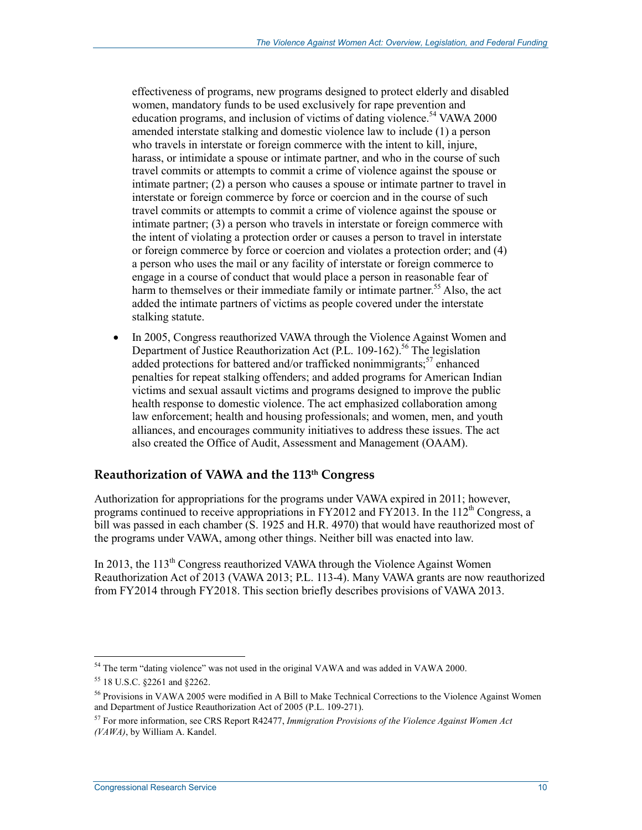effectiveness of programs, new programs designed to protect elderly and disabled women, mandatory funds to be used exclusively for rape prevention and education programs, and inclusion of victims of dating violence.<sup>54</sup> VAWA 2000 amended interstate stalking and domestic violence law to include (1) a person who travels in interstate or foreign commerce with the intent to kill, injure, harass, or intimidate a spouse or intimate partner, and who in the course of such travel commits or attempts to commit a crime of violence against the spouse or intimate partner; (2) a person who causes a spouse or intimate partner to travel in interstate or foreign commerce by force or coercion and in the course of such travel commits or attempts to commit a crime of violence against the spouse or intimate partner; (3) a person who travels in interstate or foreign commerce with the intent of violating a protection order or causes a person to travel in interstate or foreign commerce by force or coercion and violates a protection order; and (4) a person who uses the mail or any facility of interstate or foreign commerce to engage in a course of conduct that would place a person in reasonable fear of harm to themselves or their immediate family or intimate partner.<sup>55</sup> Also, the act added the intimate partners of victims as people covered under the interstate stalking statute.

• In 2005, Congress reauthorized VAWA through the Violence Against Women and Department of Justice Reauthorization Act (P.L. 109-162).<sup>56</sup> The legislation added protections for battered and/or trafficked nonimmigrants;<sup>57</sup> enhanced penalties for repeat stalking offenders; and added programs for American Indian victims and sexual assault victims and programs designed to improve the public health response to domestic violence. The act emphasized collaboration among law enforcement; health and housing professionals; and women, men, and youth alliances, and encourages community initiatives to address these issues. The act also created the Office of Audit, Assessment and Management (OAAM).

### **Reauthorization of VAWA and the 113th Congress**

Authorization for appropriations for the programs under VAWA expired in 2011; however, programs continued to receive appropriations in FY2012 and FY2013. In the 112<sup>th</sup> Congress, a bill was passed in each chamber (S. 1925 and H.R. 4970) that would have reauthorized most of the programs under VAWA, among other things. Neither bill was enacted into law.

In 2013, the  $113<sup>th</sup>$  Congress reauthorized VAWA through the Violence Against Women Reauthorization Act of 2013 (VAWA 2013; P.L. 113-4). Many VAWA grants are now reauthorized from FY2014 through FY2018. This section briefly describes provisions of VAWA 2013.

<sup>&</sup>lt;sup>54</sup> The term "dating violence" was not used in the original VAWA and was added in VAWA 2000.

<sup>55 18</sup> U.S.C. §2261 and §2262.

<sup>&</sup>lt;sup>56</sup> Provisions in VAWA 2005 were modified in A Bill to Make Technical Corrections to the Violence Against Women and Department of Justice Reauthorization Act of 2005 (P.L. 109-271).

<sup>57</sup> For more information, see CRS Report R42477, *Immigration Provisions of the Violence Against Women Act (VAWA)*, by William A. Kandel.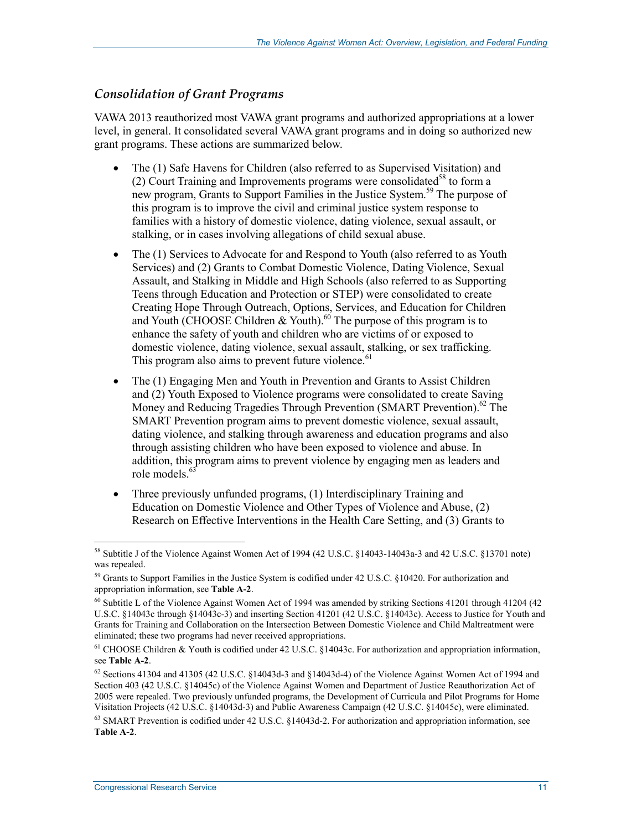#### *Consolidation of Grant Programs*

VAWA 2013 reauthorized most VAWA grant programs and authorized appropriations at a lower level, in general. It consolidated several VAWA grant programs and in doing so authorized new grant programs. These actions are summarized below.

- The (1) Safe Havens for Children (also referred to as Supervised Visitation) and (2) Court Training and Improvements programs were consolidated<sup>58</sup> to form a new program, Grants to Support Families in the Justice System.<sup>59</sup> The purpose of this program is to improve the civil and criminal justice system response to families with a history of domestic violence, dating violence, sexual assault, or stalking, or in cases involving allegations of child sexual abuse.
- The (1) Services to Advocate for and Respond to Youth (also referred to as Youth Services) and (2) Grants to Combat Domestic Violence, Dating Violence, Sexual Assault, and Stalking in Middle and High Schools (also referred to as Supporting Teens through Education and Protection or STEP) were consolidated to create Creating Hope Through Outreach, Options, Services, and Education for Children and Youth (CHOOSE Children  $\&$  Youth).<sup>60</sup> The purpose of this program is to enhance the safety of youth and children who are victims of or exposed to domestic violence, dating violence, sexual assault, stalking, or sex trafficking. This program also aims to prevent future violence.<sup>61</sup>
- The (1) Engaging Men and Youth in Prevention and Grants to Assist Children and (2) Youth Exposed to Violence programs were consolidated to create Saving Money and Reducing Tragedies Through Prevention (SMART Prevention).<sup>62</sup> The SMART Prevention program aims to prevent domestic violence, sexual assault, dating violence, and stalking through awareness and education programs and also through assisting children who have been exposed to violence and abuse. In addition, this program aims to prevent violence by engaging men as leaders and role models.<sup>63</sup>
- Three previously unfunded programs, (1) Interdisciplinary Training and Education on Domestic Violence and Other Types of Violence and Abuse, (2) Research on Effective Interventions in the Health Care Setting, and (3) Grants to

<u>.</u>

<sup>58</sup> Subtitle J of the Violence Against Women Act of 1994 (42 U.S.C. §14043-14043a-3 and 42 U.S.C. §13701 note) was repealed.

<sup>&</sup>lt;sup>59</sup> Grants to Support Families in the Justice System is codified under 42 U.S.C. §10420. For authorization and appropriation information, see **Table A-2**.

<sup>60</sup> Subtitle L of the Violence Against Women Act of 1994 was amended by striking Sections 41201 through 41204 (42 U.S.C. §14043c through §14043c-3) and inserting Section 41201 (42 U.S.C. §14043c). Access to Justice for Youth and Grants for Training and Collaboration on the Intersection Between Domestic Violence and Child Maltreatment were eliminated; these two programs had never received appropriations.

<sup>61</sup> CHOOSE Children & Youth is codified under 42 U.S.C. §14043c. For authorization and appropriation information, see **Table A-2**.

<sup>62</sup> Sections 41304 and 41305 (42 U.S.C. §14043d-3 and §14043d-4) of the Violence Against Women Act of 1994 and Section 403 (42 U.S.C. §14045c) of the Violence Against Women and Department of Justice Reauthorization Act of 2005 were repealed. Two previously unfunded programs, the Development of Curricula and Pilot Programs for Home Visitation Projects (42 U.S.C. §14043d-3) and Public Awareness Campaign (42 U.S.C. §14045c), were eliminated.

<sup>&</sup>lt;sup>63</sup> SMART Prevention is codified under 42 U.S.C. §14043d-2. For authorization and appropriation information, see **Table A-2**.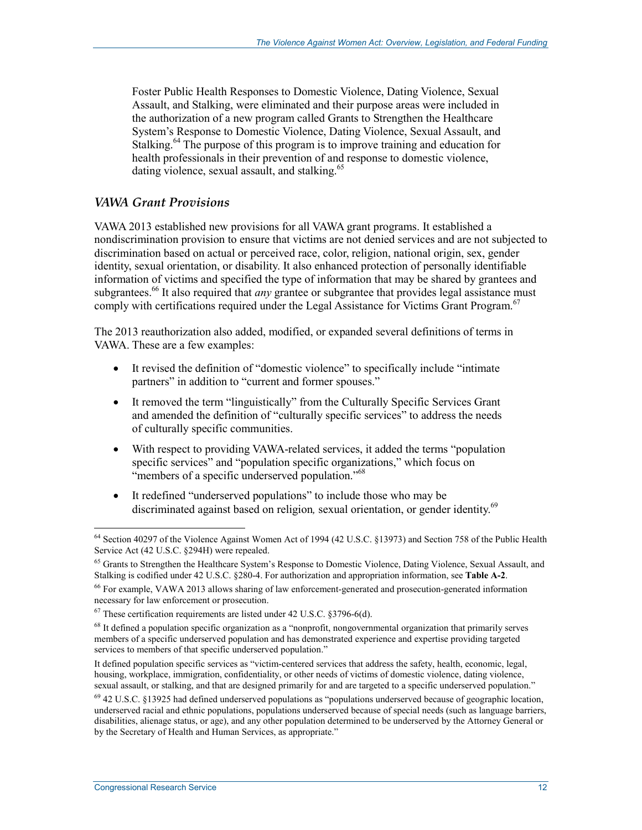Foster Public Health Responses to Domestic Violence, Dating Violence, Sexual Assault, and Stalking, were eliminated and their purpose areas were included in the authorization of a new program called Grants to Strengthen the Healthcare System's Response to Domestic Violence, Dating Violence, Sexual Assault, and Stalking.<sup>64</sup> The purpose of this program is to improve training and education for health professionals in their prevention of and response to domestic violence, dating violence, sexual assault, and stalking.<sup>65</sup>

### *VAWA Grant Provisions*

VAWA 2013 established new provisions for all VAWA grant programs. It established a nondiscrimination provision to ensure that victims are not denied services and are not subjected to discrimination based on actual or perceived race, color, religion, national origin, sex, gender identity, sexual orientation, or disability. It also enhanced protection of personally identifiable information of victims and specified the type of information that may be shared by grantees and subgrantees.<sup>66</sup> It also required that *any* grantee or subgrantee that provides legal assistance must comply with certifications required under the Legal Assistance for Victims Grant Program.<sup>67</sup>

The 2013 reauthorization also added, modified, or expanded several definitions of terms in VAWA. These are a few examples:

- It revised the definition of "domestic violence" to specifically include "intimate partners" in addition to "current and former spouses."
- It removed the term "linguistically" from the Culturally Specific Services Grant and amended the definition of "culturally specific services" to address the needs of culturally specific communities.
- With respect to providing VAWA-related services, it added the terms "population" specific services" and "population specific organizations," which focus on "members of a specific underserved population."<sup>68</sup>
- It redefined "underserved populations" to include those who may be discriminated against based on religion, sexual orientation, or gender identity.<sup>69</sup>

<sup>&</sup>lt;sup>64</sup> Section 40297 of the Violence Against Women Act of 1994 (42 U.S.C. §13973) and Section 758 of the Public Health Service Act (42 U.S.C. §294H) were repealed.

<sup>&</sup>lt;sup>65</sup> Grants to Strengthen the Healthcare System's Response to Domestic Violence, Dating Violence, Sexual Assault, and Stalking is codified under 42 U.S.C. §280-4. For authorization and appropriation information, see **Table A-2**.

<sup>&</sup>lt;sup>66</sup> For example, VAWA 2013 allows sharing of law enforcement-generated and prosecution-generated information necessary for law enforcement or prosecution.

 $67$  These certification requirements are listed under 42 U.S.C. §3796-6(d).

<sup>&</sup>lt;sup>68</sup> It defined a population specific organization as a "nonprofit, nongovernmental organization that primarily serves members of a specific underserved population and has demonstrated experience and expertise providing targeted services to members of that specific underserved population."

It defined population specific services as "victim-centered services that address the safety, health, economic, legal, housing, workplace, immigration, confidentiality, or other needs of victims of domestic violence, dating violence, sexual assault, or stalking, and that are designed primarily for and are targeted to a specific underserved population."

 $^{69}$  42 U.S.C. §13925 had defined underserved populations as "populations underserved because of geographic location, underserved racial and ethnic populations, populations underserved because of special needs (such as language barriers, disabilities, alienage status, or age), and any other population determined to be underserved by the Attorney General or by the Secretary of Health and Human Services, as appropriate."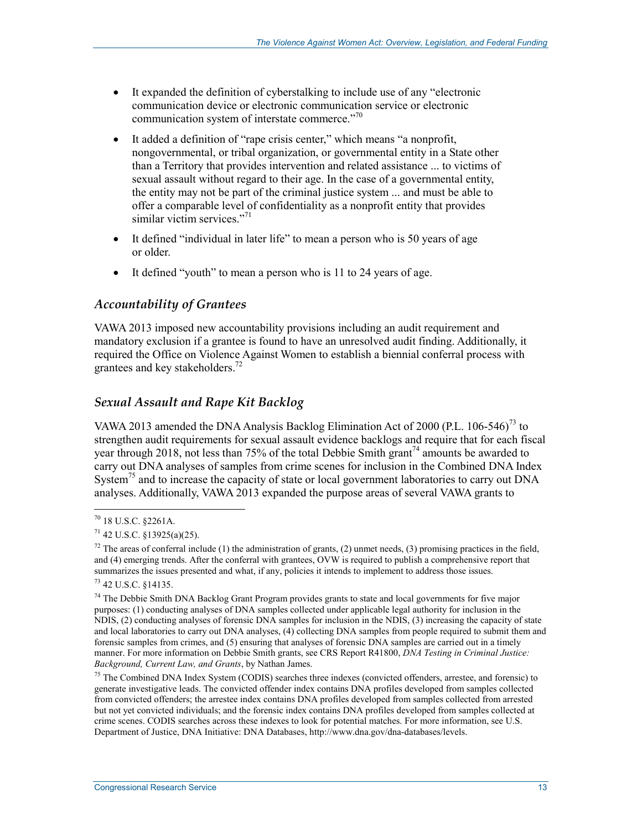- It expanded the definition of cyberstalking to include use of any "electronic communication device or electronic communication service or electronic communication system of interstate commerce."70
- It added a definition of "rape crisis center," which means "a nonprofit, nongovernmental, or tribal organization, or governmental entity in a State other than a Territory that provides intervention and related assistance ... to victims of sexual assault without regard to their age. In the case of a governmental entity, the entity may not be part of the criminal justice system ... and must be able to offer a comparable level of confidentiality as a nonprofit entity that provides similar victim services."<sup>71</sup>
- It defined "individual in later life" to mean a person who is 50 years of age or older.
- It defined "youth" to mean a person who is 11 to 24 years of age.

### *Accountability of Grantees*

VAWA 2013 imposed new accountability provisions including an audit requirement and mandatory exclusion if a grantee is found to have an unresolved audit finding. Additionally, it required the Office on Violence Against Women to establish a biennial conferral process with grantees and key stakeholders.<sup>72</sup>

### *Sexual Assault and Rape Kit Backlog*

VAWA 2013 amended the DNA Analysis Backlog Elimination Act of 2000 (P.L. 106-546)<sup>73</sup> to strengthen audit requirements for sexual assault evidence backlogs and require that for each fiscal year through 2018, not less than 75% of the total Debbie Smith grant<sup>74</sup> amounts be awarded to carry out DNA analyses of samples from crime scenes for inclusion in the Combined DNA Index System<sup>75</sup> and to increase the capacity of state or local government laboratories to carry out DNA analyses. Additionally, VAWA 2013 expanded the purpose areas of several VAWA grants to

<u>.</u>

 $^{70}$  18 U.S.C. §2261A.

<sup>71 42</sup> U.S.C. §13925(a)(25).

<sup>&</sup>lt;sup>72</sup> The areas of conferral include (1) the administration of grants, (2) unmet needs, (3) promising practices in the field, and (4) emerging trends. After the conferral with grantees, OVW is required to publish a comprehensive report that summarizes the issues presented and what, if any, policies it intends to implement to address those issues.

<sup>73 42</sup> U.S.C. §14135.

<sup>&</sup>lt;sup>74</sup> The Debbie Smith DNA Backlog Grant Program provides grants to state and local governments for five major purposes: (1) conducting analyses of DNA samples collected under applicable legal authority for inclusion in the NDIS, (2) conducting analyses of forensic DNA samples for inclusion in the NDIS, (3) increasing the capacity of state and local laboratories to carry out DNA analyses, (4) collecting DNA samples from people required to submit them and forensic samples from crimes, and (5) ensuring that analyses of forensic DNA samples are carried out in a timely manner. For more information on Debbie Smith grants, see CRS Report R41800, *DNA Testing in Criminal Justice: Background, Current Law, and Grants*, by Nathan James.

<sup>&</sup>lt;sup>75</sup> The Combined DNA Index System (CODIS) searches three indexes (convicted offenders, arrestee, and forensic) to generate investigative leads. The convicted offender index contains DNA profiles developed from samples collected from convicted offenders; the arrestee index contains DNA profiles developed from samples collected from arrested but not yet convicted individuals; and the forensic index contains DNA profiles developed from samples collected at crime scenes. CODIS searches across these indexes to look for potential matches. For more information, see U.S. Department of Justice, DNA Initiative: DNA Databases, http://www.dna.gov/dna-databases/levels.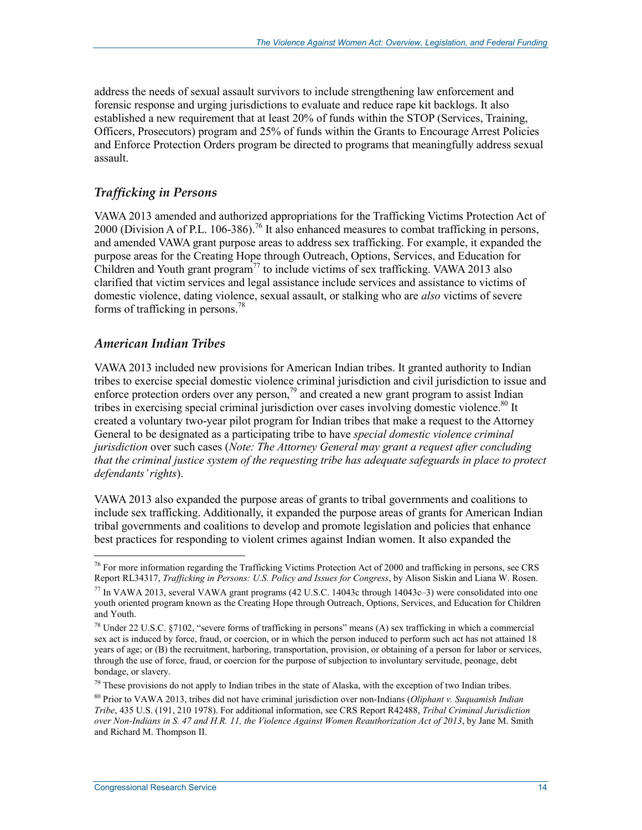address the needs of sexual assault survivors to include strengthening law enforcement and forensic response and urging jurisdictions to evaluate and reduce rape kit backlogs. It also established a new requirement that at least 20% of funds within the STOP (Services, Training, Officers, Prosecutors) program and 25% of funds within the Grants to Encourage Arrest Policies and Enforce Protection Orders program be directed to programs that meaningfully address sexual assault.

### *Trafficking in Persons*

VAWA 2013 amended and authorized appropriations for the Trafficking Victims Protection Act of 2000 (Division A of P.L. 106-386).<sup>76</sup> It also enhanced measures to combat trafficking in persons, and amended VAWA grant purpose areas to address sex trafficking. For example, it expanded the purpose areas for the Creating Hope through Outreach, Options, Services, and Education for Children and Youth grant program<sup>77</sup> to include victims of sex trafficking. VAWA 2013 also clarified that victim services and legal assistance include services and assistance to victims of domestic violence, dating violence, sexual assault, or stalking who are *also* victims of severe forms of trafficking in persons.78

#### *American Indian Tribes*

VAWA 2013 included new provisions for American Indian tribes. It granted authority to Indian tribes to exercise special domestic violence criminal jurisdiction and civil jurisdiction to issue and enforce protection orders over any person,<sup>79</sup> and created a new grant program to assist Indian tribes in exercising special criminal jurisdiction over cases involving domestic violence.<sup>80</sup> It created a voluntary two-year pilot program for Indian tribes that make a request to the Attorney General to be designated as a participating tribe to have *special domestic violence criminal jurisdiction* over such cases (*Note: The Attorney General may grant a request after concluding that the criminal justice system of the requesting tribe has adequate safeguards in place to protect defendants' rights*).

VAWA 2013 also expanded the purpose areas of grants to tribal governments and coalitions to include sex trafficking. Additionally, it expanded the purpose areas of grants for American Indian tribal governments and coalitions to develop and promote legislation and policies that enhance best practices for responding to violent crimes against Indian women. It also expanded the

 $76$  For more information regarding the Trafficking Victims Protection Act of 2000 and trafficking in persons, see CRS Report RL34317, *Trafficking in Persons: U.S. Policy and Issues for Congress*, by Alison Siskin and Liana W. Rosen.

 $^{77}$  In VAWA 2013, several VAWA grant programs (42 U.S.C. 14043c through 14043c–3) were consolidated into one youth oriented program known as the Creating Hope through Outreach, Options, Services, and Education for Children and Youth.

<sup>78</sup> Under 22 U.S.C. §7102, "severe forms of trafficking in persons" means (A) sex trafficking in which a commercial sex act is induced by force, fraud, or coercion, or in which the person induced to perform such act has not attained 18 years of age; or (B) the recruitment, harboring, transportation, provision, or obtaining of a person for labor or services, through the use of force, fraud, or coercion for the purpose of subjection to involuntary servitude, peonage, debt bondage, or slavery.

 $79$  These provisions do not apply to Indian tribes in the state of Alaska, with the exception of two Indian tribes.

<sup>80</sup> Prior to VAWA 2013, tribes did not have criminal jurisdiction over non-Indians (*Oliphant v. Suquamish Indian Tribe*, 435 U.S. (191, 210 1978). For additional information, see CRS Report R42488, *Tribal Criminal Jurisdiction over Non-Indians in S. 47 and H.R. 11, the Violence Against Women Reauthorization Act of 2013*, by Jane M. Smith and Richard M. Thompson II.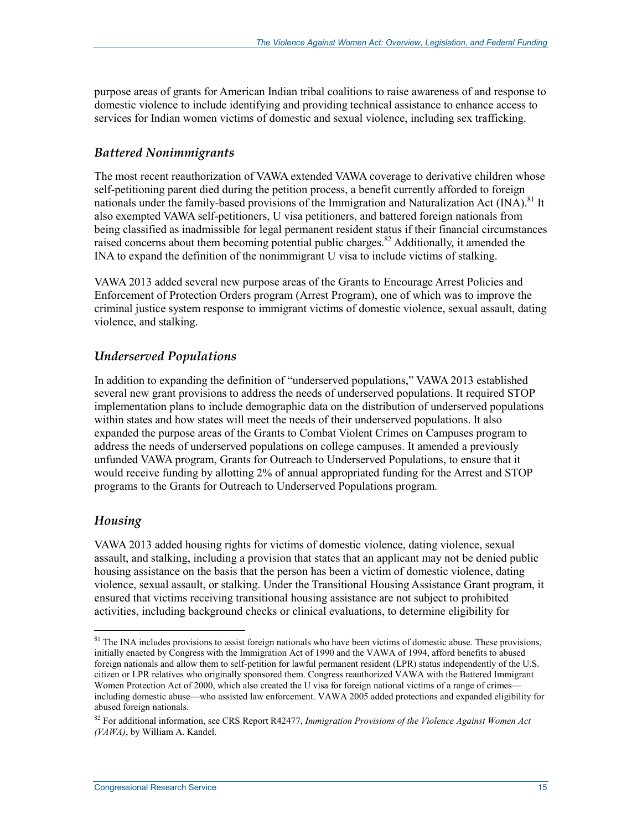purpose areas of grants for American Indian tribal coalitions to raise awareness of and response to domestic violence to include identifying and providing technical assistance to enhance access to services for Indian women victims of domestic and sexual violence, including sex trafficking.

### *Battered Nonimmigrants*

The most recent reauthorization of VAWA extended VAWA coverage to derivative children whose self-petitioning parent died during the petition process, a benefit currently afforded to foreign nationals under the family-based provisions of the Immigration and Naturalization Act (INA).<sup>81</sup> It also exempted VAWA self-petitioners, U visa petitioners, and battered foreign nationals from being classified as inadmissible for legal permanent resident status if their financial circumstances raised concerns about them becoming potential public charges.<sup>82</sup> Additionally, it amended the INA to expand the definition of the nonimmigrant U visa to include victims of stalking.

VAWA 2013 added several new purpose areas of the Grants to Encourage Arrest Policies and Enforcement of Protection Orders program (Arrest Program), one of which was to improve the criminal justice system response to immigrant victims of domestic violence, sexual assault, dating violence, and stalking.

### *Underserved Populations*

In addition to expanding the definition of "underserved populations," VAWA 2013 established several new grant provisions to address the needs of underserved populations. It required STOP implementation plans to include demographic data on the distribution of underserved populations within states and how states will meet the needs of their underserved populations. It also expanded the purpose areas of the Grants to Combat Violent Crimes on Campuses program to address the needs of underserved populations on college campuses. It amended a previously unfunded VAWA program, Grants for Outreach to Underserved Populations, to ensure that it would receive funding by allotting 2% of annual appropriated funding for the Arrest and STOP programs to the Grants for Outreach to Underserved Populations program.

### *Housing*

VAWA 2013 added housing rights for victims of domestic violence, dating violence, sexual assault, and stalking, including a provision that states that an applicant may not be denied public housing assistance on the basis that the person has been a victim of domestic violence, dating violence, sexual assault, or stalking. Under the Transitional Housing Assistance Grant program, it ensured that victims receiving transitional housing assistance are not subject to prohibited activities, including background checks or clinical evaluations, to determine eligibility for

<sup>1</sup>  $81$  The INA includes provisions to assist foreign nationals who have been victims of domestic abuse. These provisions, initially enacted by Congress with the Immigration Act of 1990 and the VAWA of 1994, afford benefits to abused foreign nationals and allow them to self-petition for lawful permanent resident (LPR) status independently of the U.S. citizen or LPR relatives who originally sponsored them. Congress reauthorized VAWA with the Battered Immigrant Women Protection Act of 2000, which also created the U visa for foreign national victims of a range of crimes including domestic abuse—who assisted law enforcement. VAWA 2005 added protections and expanded eligibility for abused foreign nationals.

<sup>82</sup> For additional information, see CRS Report R42477, *Immigration Provisions of the Violence Against Women Act (VAWA)*, by William A. Kandel.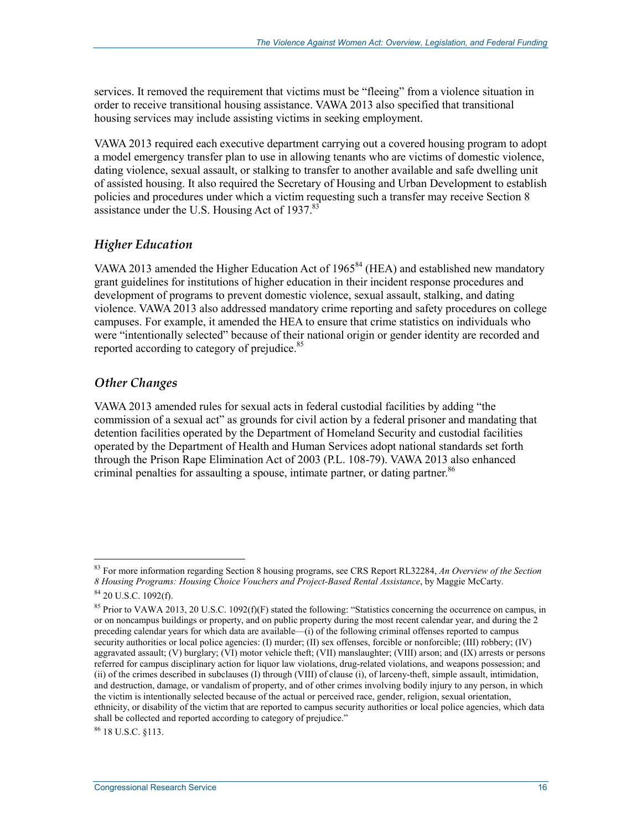services. It removed the requirement that victims must be "fleeing" from a violence situation in order to receive transitional housing assistance. VAWA 2013 also specified that transitional housing services may include assisting victims in seeking employment.

VAWA 2013 required each executive department carrying out a covered housing program to adopt a model emergency transfer plan to use in allowing tenants who are victims of domestic violence, dating violence, sexual assault, or stalking to transfer to another available and safe dwelling unit of assisted housing. It also required the Secretary of Housing and Urban Development to establish policies and procedures under which a victim requesting such a transfer may receive Section 8 assistance under the U.S. Housing Act of 1937. $8$ 

### *Higher Education*

VAWA 2013 amended the Higher Education Act of 1965<sup>84</sup> (HEA) and established new mandatory grant guidelines for institutions of higher education in their incident response procedures and development of programs to prevent domestic violence, sexual assault, stalking, and dating violence. VAWA 2013 also addressed mandatory crime reporting and safety procedures on college campuses. For example, it amended the HEA to ensure that crime statistics on individuals who were "intentionally selected" because of their national origin or gender identity are recorded and reported according to category of prejudice.<sup>85</sup>

### *Other Changes*

VAWA 2013 amended rules for sexual acts in federal custodial facilities by adding "the commission of a sexual act" as grounds for civil action by a federal prisoner and mandating that detention facilities operated by the Department of Homeland Security and custodial facilities operated by the Department of Health and Human Services adopt national standards set forth through the Prison Rape Elimination Act of 2003 (P.L. 108-79). VAWA 2013 also enhanced criminal penalties for assaulting a spouse, intimate partner, or dating partner.<sup>86</sup>

1

86 18 U.S.C. §113.

<sup>83</sup> For more information regarding Section 8 housing programs, see CRS Report RL32284, *An Overview of the Section 8 Housing Programs: Housing Choice Vouchers and Project-Based Rental Assistance*, by Maggie McCarty.

<sup>84 20</sup> U.S.C. 1092(f).

<sup>&</sup>lt;sup>85</sup> Prior to VAWA 2013, 20 U.S.C. 1092(f)(F) stated the following: "Statistics concerning the occurrence on campus, in or on noncampus buildings or property, and on public property during the most recent calendar year, and during the 2 preceding calendar years for which data are available—(i) of the following criminal offenses reported to campus security authorities or local police agencies: (I) murder; (II) sex offenses, forcible or nonforcible; (III) robbery; (IV) aggravated assault; (V) burglary; (VI) motor vehicle theft; (VII) manslaughter; (VIII) arson; and (IX) arrests or persons referred for campus disciplinary action for liquor law violations, drug-related violations, and weapons possession; and (ii) of the crimes described in subclauses (I) through (VIII) of clause (i), of larceny-theft, simple assault, intimidation, and destruction, damage, or vandalism of property, and of other crimes involving bodily injury to any person, in which the victim is intentionally selected because of the actual or perceived race, gender, religion, sexual orientation, ethnicity, or disability of the victim that are reported to campus security authorities or local police agencies, which data shall be collected and reported according to category of prejudice."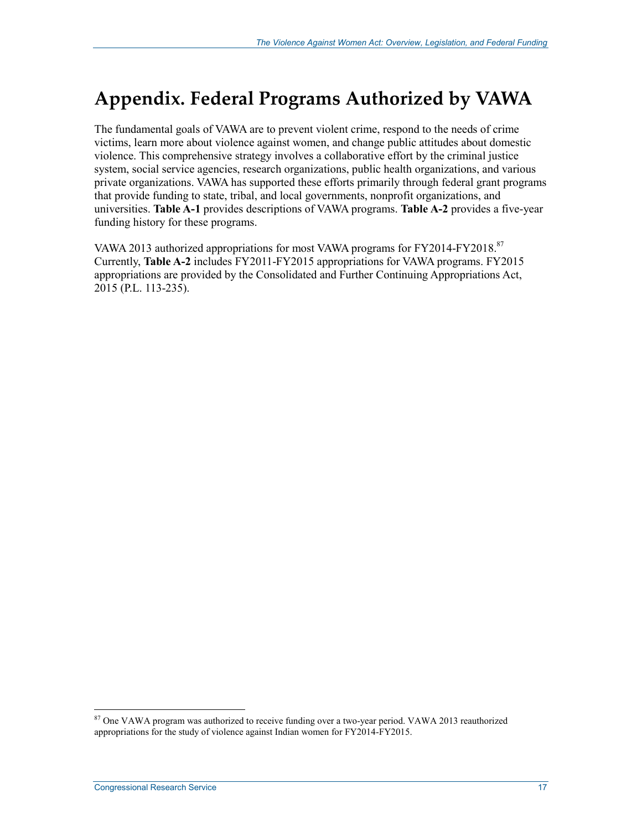# **Appendix. Federal Programs Authorized by VAWA**

The fundamental goals of VAWA are to prevent violent crime, respond to the needs of crime victims, learn more about violence against women, and change public attitudes about domestic violence. This comprehensive strategy involves a collaborative effort by the criminal justice system, social service agencies, research organizations, public health organizations, and various private organizations. VAWA has supported these efforts primarily through federal grant programs that provide funding to state, tribal, and local governments, nonprofit organizations, and universities. **Table A-1** provides descriptions of VAWA programs. **Table A-2** provides a five-year funding history for these programs.

VAWA 2013 authorized appropriations for most VAWA programs for FY2014-FY2018.<sup>87</sup> Currently, **Table A-2** includes FY2011-FY2015 appropriations for VAWA programs. FY2015 appropriations are provided by the Consolidated and Further Continuing Appropriations Act, 2015 (P.L. 113-235).

 $87$  One VAWA program was authorized to receive funding over a two-year period. VAWA 2013 reauthorized appropriations for the study of violence against Indian women for FY2014-FY2015.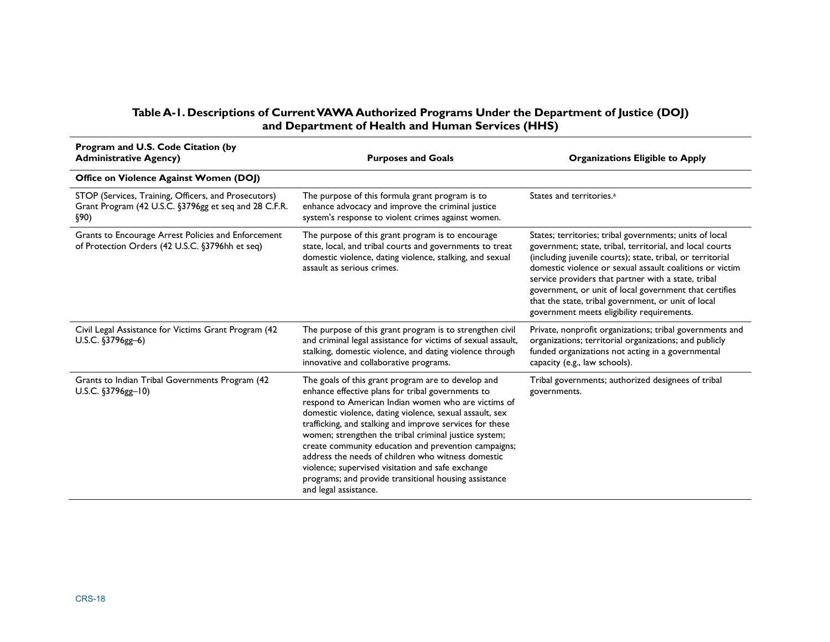#### **Table A-1. Descriptions of Current VAWA Authorized Programs Under the Department of Justice (DOJ) and Department of Health and Human Services (HHS)**

| Program and U.S. Code Citation (by<br><b>Administrative Agency)</b>                                                       | <b>Purposes and Goals</b>                                                                                                                                                                                                                                                                                                                                                                                                                                                                                                                                                                           | <b>Organizations Eligible to Apply</b>                                                                                                                                                                                                                                                                                                                                                                                                                              |  |  |
|---------------------------------------------------------------------------------------------------------------------------|-----------------------------------------------------------------------------------------------------------------------------------------------------------------------------------------------------------------------------------------------------------------------------------------------------------------------------------------------------------------------------------------------------------------------------------------------------------------------------------------------------------------------------------------------------------------------------------------------------|---------------------------------------------------------------------------------------------------------------------------------------------------------------------------------------------------------------------------------------------------------------------------------------------------------------------------------------------------------------------------------------------------------------------------------------------------------------------|--|--|
| Office on Violence Against Women (DOJ)                                                                                    |                                                                                                                                                                                                                                                                                                                                                                                                                                                                                                                                                                                                     |                                                                                                                                                                                                                                                                                                                                                                                                                                                                     |  |  |
| STOP (Services, Training, Officers, and Prosecutors)<br>Grant Program (42 U.S.C. §3796gg et seq and 28 C.F.R.<br>$\S$ 90) | The purpose of this formula grant program is to<br>enhance advocacy and improve the criminal justice<br>system's response to violent crimes against women.                                                                                                                                                                                                                                                                                                                                                                                                                                          | States and territories. <sup>a</sup>                                                                                                                                                                                                                                                                                                                                                                                                                                |  |  |
| Grants to Encourage Arrest Policies and Enforcement<br>of Protection Orders (42 U.S.C. §3796hh et seq)                    | The purpose of this grant program is to encourage<br>state, local, and tribal courts and governments to treat<br>domestic violence, dating violence, stalking, and sexual<br>assault as serious crimes.                                                                                                                                                                                                                                                                                                                                                                                             | States; territories; tribal governments; units of local<br>government; state, tribal, territorial, and local courts<br>(including juvenile courts); state, tribal, or territorial<br>domestic violence or sexual assault coalitions or victim<br>service providers that partner with a state, tribal<br>government, or unit of local government that certifies<br>that the state, tribal government, or unit of local<br>government meets eligibility requirements. |  |  |
| Civil Legal Assistance for Victims Grant Program (42<br>U.S.C. §3796gg-6)                                                 | The purpose of this grant program is to strengthen civil<br>and criminal legal assistance for victims of sexual assault,<br>stalking, domestic violence, and dating violence through<br>innovative and collaborative programs.                                                                                                                                                                                                                                                                                                                                                                      | Private, nonprofit organizations; tribal governments and<br>organizations; territorial organizations; and publicly<br>funded organizations not acting in a governmental<br>capacity (e.g., law schools).                                                                                                                                                                                                                                                            |  |  |
| Grants to Indian Tribal Governments Program (42<br>$U.S.C.$ §3796gg-10)                                                   | The goals of this grant program are to develop and<br>enhance effective plans for tribal governments to<br>respond to American Indian women who are victims of<br>domestic violence, dating violence, sexual assault, sex<br>trafficking, and stalking and improve services for these<br>women; strengthen the tribal criminal justice system;<br>create community education and prevention campaigns;<br>address the needs of children who witness domestic<br>violence; supervised visitation and safe exchange<br>programs; and provide transitional housing assistance<br>and legal assistance. | Tribal governments; authorized designees of tribal<br>governments.                                                                                                                                                                                                                                                                                                                                                                                                  |  |  |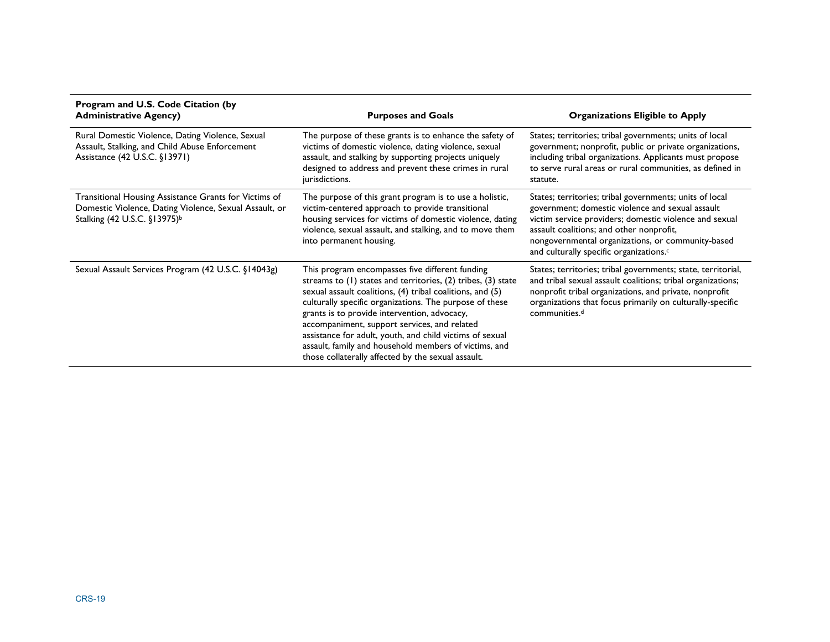| Program and U.S. Code Citation (by<br><b>Administrative Agency)</b>                                                                                         | <b>Purposes and Goals</b>                                                                                                                                                                                                                                                                                                                                                                                                                                                                                          | <b>Organizations Eligible to Apply</b>                                                                                                                                                                                                                                                                                        |  |  |  |
|-------------------------------------------------------------------------------------------------------------------------------------------------------------|--------------------------------------------------------------------------------------------------------------------------------------------------------------------------------------------------------------------------------------------------------------------------------------------------------------------------------------------------------------------------------------------------------------------------------------------------------------------------------------------------------------------|-------------------------------------------------------------------------------------------------------------------------------------------------------------------------------------------------------------------------------------------------------------------------------------------------------------------------------|--|--|--|
| Rural Domestic Violence, Dating Violence, Sexual<br>Assault, Stalking, and Child Abuse Enforcement<br>Assistance (42 U.S.C. §13971)                         | The purpose of these grants is to enhance the safety of<br>victims of domestic violence, dating violence, sexual<br>assault, and stalking by supporting projects uniquely<br>designed to address and prevent these crimes in rural<br>jurisdictions.                                                                                                                                                                                                                                                               | States; territories; tribal governments; units of local<br>government; nonprofit, public or private organizations,<br>including tribal organizations. Applicants must propose<br>to serve rural areas or rural communities, as defined in<br>statute.                                                                         |  |  |  |
| Transitional Housing Assistance Grants for Victims of<br>Domestic Violence, Dating Violence, Sexual Assault, or<br>Stalking (42 U.S.C. §13975) <sup>b</sup> | The purpose of this grant program is to use a holistic,<br>victim-centered approach to provide transitional<br>housing services for victims of domestic violence, dating<br>violence, sexual assault, and stalking, and to move them<br>into permanent housing.                                                                                                                                                                                                                                                    | States; territories; tribal governments; units of local<br>government; domestic violence and sexual assault<br>victim service providers; domestic violence and sexual<br>assault coalitions; and other nonprofit,<br>nongovernmental organizations, or community-based<br>and culturally specific organizations. <sup>c</sup> |  |  |  |
| Sexual Assault Services Program (42 U.S.C. §14043g)                                                                                                         | This program encompasses five different funding<br>streams to (1) states and territories, (2) tribes, (3) state<br>sexual assault coalitions, (4) tribal coalitions, and (5)<br>culturally specific organizations. The purpose of these<br>grants is to provide intervention, advocacy,<br>accompaniment, support services, and related<br>assistance for adult, youth, and child victims of sexual<br>assault, family and household members of victims, and<br>those collaterally affected by the sexual assault. | States; territories; tribal governments; state, territorial,<br>and tribal sexual assault coalitions; tribal organizations;<br>nonprofit tribal organizations, and private, nonprofit<br>organizations that focus primarily on culturally-specific<br>communities. <sup>d</sup>                                               |  |  |  |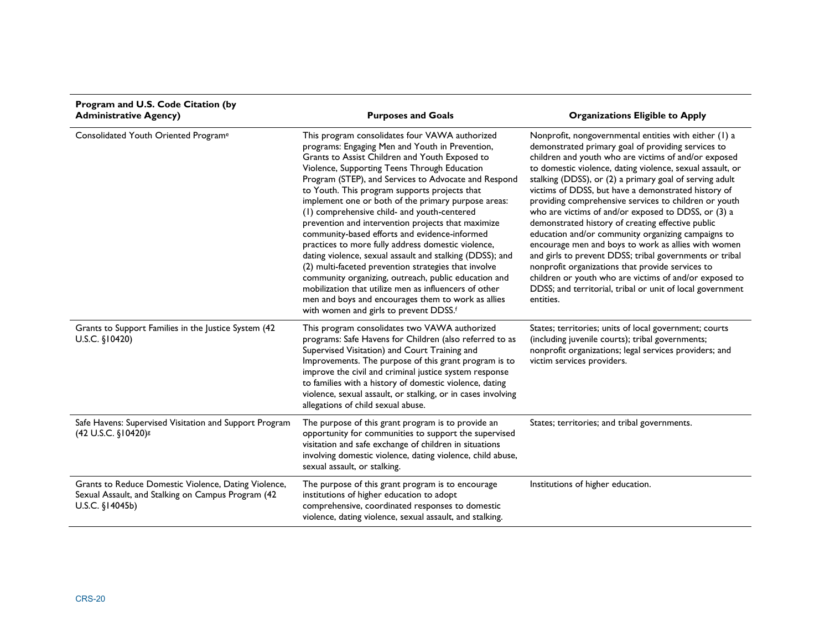| Program and U.S. Code Citation (by<br><b>Administrative Agency)</b>                                                           | <b>Purposes and Goals</b>                                                                                                                                                                                                                                                                                                                                                                                                                                                                                                                                                                                                                                                                                                                                                                                                                                                                                                        | <b>Organizations Eligible to Apply</b>                                                                                                                                                                                                                                                                                                                                                                                                                                                                                                                                                                                                                                                                                                                                                                                                                                                  |
|-------------------------------------------------------------------------------------------------------------------------------|----------------------------------------------------------------------------------------------------------------------------------------------------------------------------------------------------------------------------------------------------------------------------------------------------------------------------------------------------------------------------------------------------------------------------------------------------------------------------------------------------------------------------------------------------------------------------------------------------------------------------------------------------------------------------------------------------------------------------------------------------------------------------------------------------------------------------------------------------------------------------------------------------------------------------------|-----------------------------------------------------------------------------------------------------------------------------------------------------------------------------------------------------------------------------------------------------------------------------------------------------------------------------------------------------------------------------------------------------------------------------------------------------------------------------------------------------------------------------------------------------------------------------------------------------------------------------------------------------------------------------------------------------------------------------------------------------------------------------------------------------------------------------------------------------------------------------------------|
| Consolidated Youth Oriented Programe                                                                                          | This program consolidates four VAWA authorized<br>programs: Engaging Men and Youth in Prevention,<br>Grants to Assist Children and Youth Exposed to<br>Violence, Supporting Teens Through Education<br>Program (STEP), and Services to Advocate and Respond<br>to Youth. This program supports projects that<br>implement one or both of the primary purpose areas:<br>(1) comprehensive child- and youth-centered<br>prevention and intervention projects that maximize<br>community-based efforts and evidence-informed<br>practices to more fully address domestic violence,<br>dating violence, sexual assault and stalking (DDSS); and<br>(2) multi-faceted prevention strategies that involve<br>community organizing, outreach, public education and<br>mobilization that utilize men as influencers of other<br>men and boys and encourages them to work as allies<br>with women and girls to prevent DDSS. <sup>f</sup> | Nonprofit, nongovernmental entities with either (1) a<br>demonstrated primary goal of providing services to<br>children and youth who are victims of and/or exposed<br>to domestic violence, dating violence, sexual assault, or<br>stalking (DDSS), or (2) a primary goal of serving adult<br>victims of DDSS, but have a demonstrated history of<br>providing comprehensive services to children or youth<br>who are victims of and/or exposed to DDSS, or (3) a<br>demonstrated history of creating effective public<br>education and/or community organizing campaigns to<br>encourage men and boys to work as allies with women<br>and girls to prevent DDSS; tribal governments or tribal<br>nonprofit organizations that provide services to<br>children or youth who are victims of and/or exposed to<br>DDSS; and territorial, tribal or unit of local government<br>entities. |
| Grants to Support Families in the Justice System (42<br>U.S.C. §10420)                                                        | This program consolidates two VAWA authorized<br>programs: Safe Havens for Children (also referred to as<br>Supervised Visitation) and Court Training and<br>Improvements. The purpose of this grant program is to<br>improve the civil and criminal justice system response<br>to families with a history of domestic violence, dating<br>violence, sexual assault, or stalking, or in cases involving<br>allegations of child sexual abuse.                                                                                                                                                                                                                                                                                                                                                                                                                                                                                    | States; territories; units of local government; courts<br>(including juvenile courts); tribal governments;<br>nonprofit organizations; legal services providers; and<br>victim services providers.                                                                                                                                                                                                                                                                                                                                                                                                                                                                                                                                                                                                                                                                                      |
| Safe Havens: Supervised Visitation and Support Program<br>$(42 \text{ U.S.C. } \S10420)$ <sup>g</sup>                         | The purpose of this grant program is to provide an<br>opportunity for communities to support the supervised<br>visitation and safe exchange of children in situations<br>involving domestic violence, dating violence, child abuse,<br>sexual assault, or stalking.                                                                                                                                                                                                                                                                                                                                                                                                                                                                                                                                                                                                                                                              | States; territories; and tribal governments.                                                                                                                                                                                                                                                                                                                                                                                                                                                                                                                                                                                                                                                                                                                                                                                                                                            |
| Grants to Reduce Domestic Violence, Dating Violence,<br>Sexual Assault, and Stalking on Campus Program (42<br>U.S.C. §14045b) | The purpose of this grant program is to encourage<br>institutions of higher education to adopt<br>comprehensive, coordinated responses to domestic<br>violence, dating violence, sexual assault, and stalking.                                                                                                                                                                                                                                                                                                                                                                                                                                                                                                                                                                                                                                                                                                                   | Institutions of higher education.                                                                                                                                                                                                                                                                                                                                                                                                                                                                                                                                                                                                                                                                                                                                                                                                                                                       |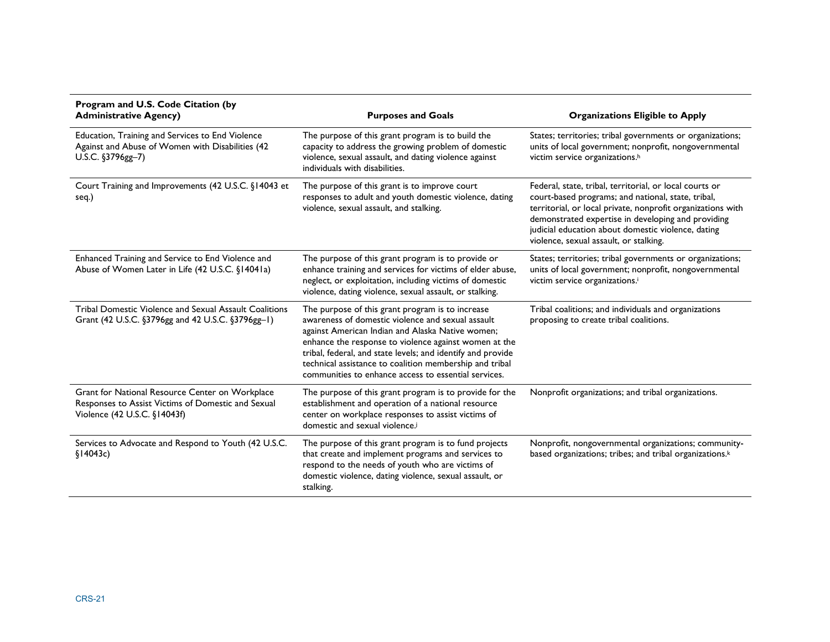| Program and U.S. Code Citation (by<br><b>Administrative Agency)</b>                                                                   | <b>Purposes and Goals</b>                                                                                                                                                                                                                                                                                                                                                                            | <b>Organizations Eligible to Apply</b>                                                                                                                                                                                                                                                                                             |  |  |  |
|---------------------------------------------------------------------------------------------------------------------------------------|------------------------------------------------------------------------------------------------------------------------------------------------------------------------------------------------------------------------------------------------------------------------------------------------------------------------------------------------------------------------------------------------------|------------------------------------------------------------------------------------------------------------------------------------------------------------------------------------------------------------------------------------------------------------------------------------------------------------------------------------|--|--|--|
| Education, Training and Services to End Violence<br>Against and Abuse of Women with Disabilities (42<br>U.S.C. §3796gg-7)             | The purpose of this grant program is to build the<br>capacity to address the growing problem of domestic<br>violence, sexual assault, and dating violence against<br>individuals with disabilities.                                                                                                                                                                                                  | States; territories; tribal governments or organizations;<br>units of local government; nonprofit, nongovernmental<br>victim service organizations. <sup>h</sup>                                                                                                                                                                   |  |  |  |
| Court Training and Improvements (42 U.S.C. §14043 et<br>seq.)                                                                         | The purpose of this grant is to improve court<br>responses to adult and youth domestic violence, dating<br>violence, sexual assault, and stalking.                                                                                                                                                                                                                                                   | Federal, state, tribal, territorial, or local courts or<br>court-based programs; and national, state, tribal,<br>territorial, or local private, nonprofit organizations with<br>demonstrated expertise in developing and providing<br>judicial education about domestic violence, dating<br>violence, sexual assault, or stalking. |  |  |  |
| Enhanced Training and Service to End Violence and<br>Abuse of Women Later in Life (42 U.S.C. §14041a)                                 | The purpose of this grant program is to provide or<br>enhance training and services for victims of elder abuse,<br>neglect, or exploitation, including victims of domestic<br>violence, dating violence, sexual assault, or stalking.                                                                                                                                                                | States; territories; tribal governments or organizations;<br>units of local government; nonprofit, nongovernmental<br>victim service organizations. <sup>i</sup>                                                                                                                                                                   |  |  |  |
| Tribal Domestic Violence and Sexual Assault Coalitions<br>Grant (42 U.S.C. §3796gg and 42 U.S.C. §3796gg-1)                           | The purpose of this grant program is to increase<br>awareness of domestic violence and sexual assault<br>against American Indian and Alaska Native women;<br>enhance the response to violence against women at the<br>tribal, federal, and state levels; and identify and provide<br>technical assistance to coalition membership and tribal<br>communities to enhance access to essential services. | Tribal coalitions; and individuals and organizations<br>proposing to create tribal coalitions.                                                                                                                                                                                                                                     |  |  |  |
| Grant for National Resource Center on Workplace<br>Responses to Assist Victims of Domestic and Sexual<br>Violence (42 U.S.C. §14043f) | The purpose of this grant program is to provide for the<br>establishment and operation of a national resource<br>center on workplace responses to assist victims of<br>domestic and sexual violence. <sup>j</sup>                                                                                                                                                                                    | Nonprofit organizations; and tribal organizations.                                                                                                                                                                                                                                                                                 |  |  |  |
| Services to Advocate and Respond to Youth (42 U.S.C.<br>\$14043c)                                                                     | The purpose of this grant program is to fund projects<br>that create and implement programs and services to<br>respond to the needs of youth who are victims of<br>domestic violence, dating violence, sexual assault, or<br>stalking.                                                                                                                                                               | Nonprofit, nongovernmental organizations; community-<br>based organizations; tribes; and tribal organizations. <sup>k</sup>                                                                                                                                                                                                        |  |  |  |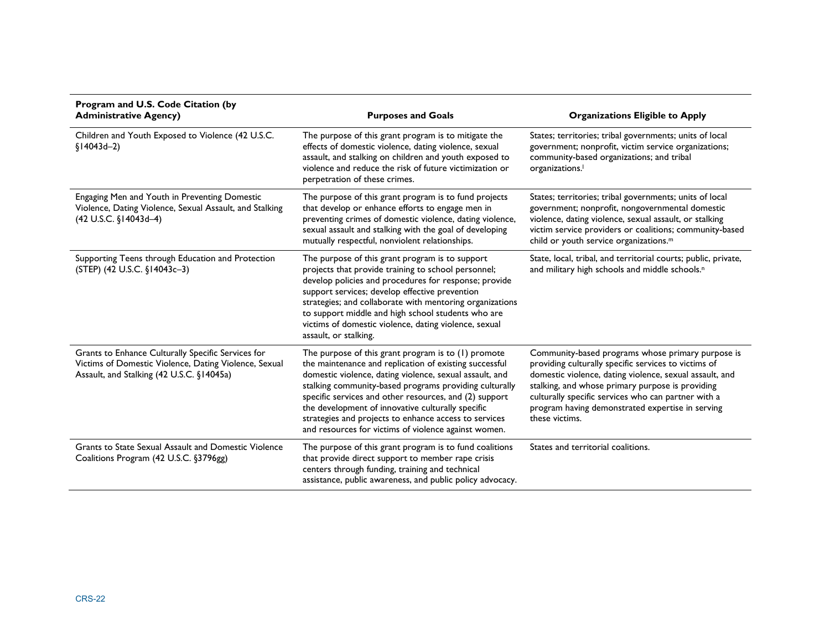| Program and U.S. Code Citation (by<br><b>Administrative Agency)</b>                                                                                      | <b>Purposes and Goals</b>                                                                                                                                                                                                                                                                                                                                                                                                                                          | <b>Organizations Eligible to Apply</b>                                                                                                                                                                                                                                                                                                                |  |  |  |
|----------------------------------------------------------------------------------------------------------------------------------------------------------|--------------------------------------------------------------------------------------------------------------------------------------------------------------------------------------------------------------------------------------------------------------------------------------------------------------------------------------------------------------------------------------------------------------------------------------------------------------------|-------------------------------------------------------------------------------------------------------------------------------------------------------------------------------------------------------------------------------------------------------------------------------------------------------------------------------------------------------|--|--|--|
| Children and Youth Exposed to Violence (42 U.S.C.<br>$$14043d - 2)$                                                                                      | The purpose of this grant program is to mitigate the<br>effects of domestic violence, dating violence, sexual<br>assault, and stalking on children and youth exposed to<br>violence and reduce the risk of future victimization or<br>perpetration of these crimes.                                                                                                                                                                                                | States; territories; tribal governments; units of local<br>government; nonprofit, victim service organizations;<br>community-based organizations; and tribal<br>organizations. <sup>1</sup>                                                                                                                                                           |  |  |  |
| Engaging Men and Youth in Preventing Domestic<br>Violence, Dating Violence, Sexual Assault, and Stalking<br>$(42 \text{ U.S.C. } \S14043d-4)$            | The purpose of this grant program is to fund projects<br>that develop or enhance efforts to engage men in<br>preventing crimes of domestic violence, dating violence,<br>sexual assault and stalking with the goal of developing<br>mutually respectful, nonviolent relationships.                                                                                                                                                                                 | States; territories; tribal governments; units of local<br>government; nonprofit, nongovernmental domestic<br>violence, dating violence, sexual assault, or stalking<br>victim service providers or coalitions; community-based<br>child or youth service organizations. <sup>m</sup>                                                                 |  |  |  |
| Supporting Teens through Education and Protection<br>$(STEP)$ (42 U.S.C. §14043c-3)                                                                      | The purpose of this grant program is to support<br>projects that provide training to school personnel;<br>develop policies and procedures for response; provide<br>support services; develop effective prevention<br>strategies; and collaborate with mentoring organizations<br>to support middle and high school students who are<br>victims of domestic violence, dating violence, sexual<br>assault, or stalking.                                              | State, local, tribal, and territorial courts; public, private,<br>and military high schools and middle schools. <sup>n</sup>                                                                                                                                                                                                                          |  |  |  |
| Grants to Enhance Culturally Specific Services for<br>Victims of Domestic Violence, Dating Violence, Sexual<br>Assault, and Stalking (42 U.S.C. §14045a) | The purpose of this grant program is to (1) promote<br>the maintenance and replication of existing successful<br>domestic violence, dating violence, sexual assault, and<br>stalking community-based programs providing culturally<br>specific services and other resources, and (2) support<br>the development of innovative culturally specific<br>strategies and projects to enhance access to services<br>and resources for victims of violence against women. | Community-based programs whose primary purpose is<br>providing culturally specific services to victims of<br>domestic violence, dating violence, sexual assault, and<br>stalking, and whose primary purpose is providing<br>culturally specific services who can partner with a<br>program having demonstrated expertise in serving<br>these victims. |  |  |  |
| Grants to State Sexual Assault and Domestic Violence<br>Coalitions Program (42 U.S.C. §3796gg)                                                           | The purpose of this grant program is to fund coalitions<br>that provide direct support to member rape crisis<br>centers through funding, training and technical<br>assistance, public awareness, and public policy advocacy.                                                                                                                                                                                                                                       | States and territorial coalitions.                                                                                                                                                                                                                                                                                                                    |  |  |  |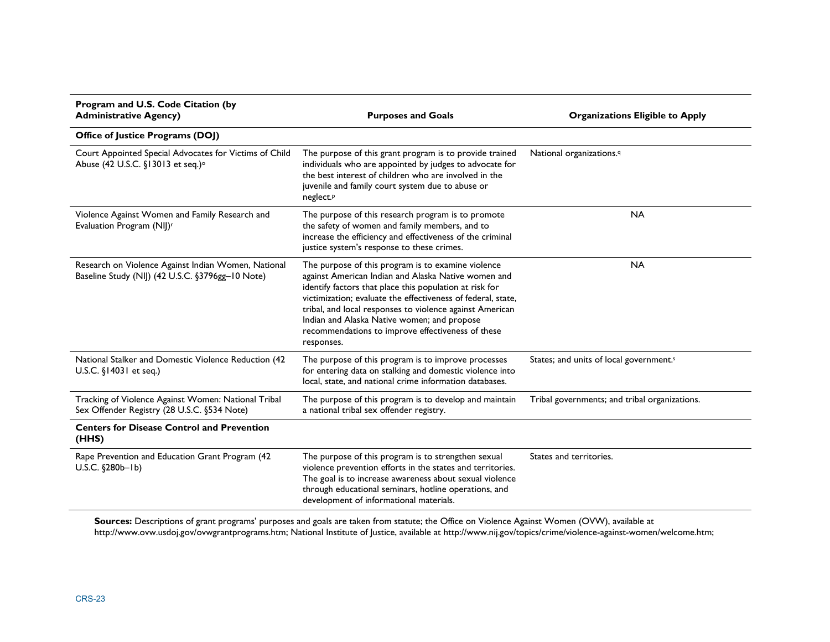| Program and U.S. Code Citation (by<br><b>Administrative Agency)</b>                                     | <b>Purposes and Goals</b>                                                                                                                                                                                                                                                                                                                                                                                          | <b>Organizations Eligible to Apply</b>              |  |  |
|---------------------------------------------------------------------------------------------------------|--------------------------------------------------------------------------------------------------------------------------------------------------------------------------------------------------------------------------------------------------------------------------------------------------------------------------------------------------------------------------------------------------------------------|-----------------------------------------------------|--|--|
| Office of Justice Programs (DOJ)                                                                        |                                                                                                                                                                                                                                                                                                                                                                                                                    |                                                     |  |  |
| Court Appointed Special Advocates for Victims of Child<br>Abuse (42 U.S.C. §13013 et seq.)°             | The purpose of this grant program is to provide trained<br>individuals who are appointed by judges to advocate for<br>the best interest of children who are involved in the<br>juvenile and family court system due to abuse or<br>neglect.P                                                                                                                                                                       | National organizations. <sup>q</sup>                |  |  |
| Violence Against Women and Family Research and<br>Evaluation Program (NIJ) <sup>r</sup>                 | The purpose of this research program is to promote<br>the safety of women and family members, and to<br>increase the efficiency and effectiveness of the criminal<br>justice system's response to these crimes.                                                                                                                                                                                                    | <b>NA</b>                                           |  |  |
| Research on Violence Against Indian Women, National<br>Baseline Study (NIJ) (42 U.S.C. §3796gg-10 Note) | The purpose of this program is to examine violence<br>against American Indian and Alaska Native women and<br>identify factors that place this population at risk for<br>victimization; evaluate the effectiveness of federal, state,<br>tribal, and local responses to violence against American<br>Indian and Alaska Native women; and propose<br>recommendations to improve effectiveness of these<br>responses. | <b>NA</b>                                           |  |  |
| National Stalker and Domestic Violence Reduction (42<br>U.S.C. §14031 et seq.)                          | The purpose of this program is to improve processes<br>for entering data on stalking and domestic violence into<br>local, state, and national crime information databases.                                                                                                                                                                                                                                         | States; and units of local government. <sup>s</sup> |  |  |
| Tracking of Violence Against Women: National Tribal<br>Sex Offender Registry (28 U.S.C. §534 Note)      | The purpose of this program is to develop and maintain<br>a national tribal sex offender registry.                                                                                                                                                                                                                                                                                                                 | Tribal governments; and tribal organizations.       |  |  |
| <b>Centers for Disease Control and Prevention</b><br>(HHS)                                              |                                                                                                                                                                                                                                                                                                                                                                                                                    |                                                     |  |  |
| Rape Prevention and Education Grant Program (42<br>U.S.C. §280b-1b)                                     | The purpose of this program is to strengthen sexual<br>violence prevention efforts in the states and territories.<br>The goal is to increase awareness about sexual violence<br>through educational seminars, hotline operations, and<br>development of informational materials.                                                                                                                                   | States and territories.                             |  |  |

**Sources:** Descriptions of grant programs' purposes and goals are taken from statute; the Office on Violence Against Women (OVW), available at http://www.ovw.usdoj.gov/ovwgrantprograms.htm; National Institute of Justice, available at http://www.nij.gov/topics/crime/violence-against-women/welcome.htm;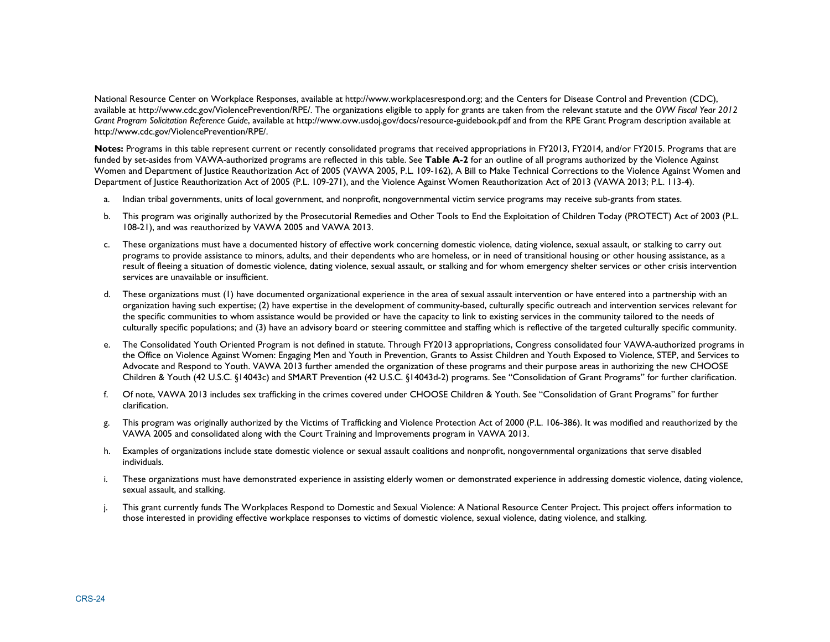National Resource Center on Workplace Responses, available at http://www.workplacesrespond.org; and the Centers for Disease Control and Prevention (CDC), available at http://www.cdc.gov/ViolencePrevention/RPE/. The organizations eligible to apply for grants are taken from the relevant statute and the *OVW Fiscal Year 2012 Grant Program Solicitation Reference Guide*, available at http://www.ovw.usdoj.gov/docs/resource-guidebook.pdf and from the RPE Grant Program description available at http://www.cdc.gov/ViolencePrevention/RPE/.

Notes: Programs in this table represent current or recently consolidated programs that received appropriations in FY2013, FY2014, and/or FY2015. Programs that are funded by set-asides from VAWA-authorized programs are reflected in this table. See **Table A-2** for an outline of all programs authorized by the Violence Against Women and Department of Justice Reauthorization Act of 2005 (VAWA 2005, P.L. 109-162), A Bill to Make Technical Corrections to the Violence Against Women and Department of Justice Reauthorization Act of 2005 (P.L. 109-271), and the Violence Against Women Reauthorization Act of 2013 (VAWA 2013; P.L. 113-4).

- a. Indian tribal governments, units of local government, and nonprofit, nongovernmental victim service programs may receive sub-grants from states.
- b. This program was originally authorized by the Prosecutorial Remedies and Other Tools to End the Exploitation of Children Today (PROTECT) Act of 2003 (P.L. 108-21), and was reauthorized by VAWA 2005 and VAWA 2013.
- c. These organizations must have a documented history of effective work concerning domestic violence, dating violence, sexual assault, or stalking to carry out programs to provide assistance to minors, adults, and their dependents who are homeless, or in need of transitional housing or other housing assistance, as a result of fleeing a situation of domestic violence, dating violence, sexual assault, or stalking and for whom emergency shelter services or other crisis intervention services are unavailable or insufficient.
- d. These organizations must (1) have documented organizational experience in the area of sexual assault intervention or have entered into a partnership with an organization having such expertise; (2) have expertise in the development of community-based, culturally specific outreach and intervention services relevant for the specific communities to whom assistance would be provided or have the capacity to link to existing services in the community tailored to the needs of culturally specific populations; and (3) have an advisory board or steering committee and staffing which is reflective of the targeted culturally specific community.
- e. The Consolidated Youth Oriented Program is not defined in statute. Through FY2013 appropriations, Congress consolidated four VAWA-authorized programs in the Office on Violence Against Women: Engaging Men and Youth in Prevention, Grants to Assist Children and Youth Exposed to Violence, STEP, and Services to Advocate and Respond to Youth. VAWA 2013 further amended the organization of these programs and their purpose areas in authorizing the new CHOOSE Children & Youth (42 U.S.C. §14043c) and SMART Prevention (42 U.S.C. §14043d-2) programs. See "Consolidation of Grant Programs" for further clarification.
- f. Of note, VAWA 2013 includes sex trafficking in the crimes covered under CHOOSE Children & Youth. See "Consolidation of Grant Programs" for further clarification.
- g. This program was originally authorized by the Victims of Trafficking and Violence Protection Act of 2000 (P.L. 106-386). It was modified and reauthorized by the VAWA 2005 and consolidated along with the Court Training and Improvements program in VAWA 2013.
- h. Examples of organizations include state domestic violence or sexual assault coalitions and nonprofit, nongovernmental organizations that serve disabled individuals.
- i. These organizations must have demonstrated experience in assisting elderly women or demonstrated experience in addressing domestic violence, dating violence, sexual assault, and stalking.
- j. This grant currently funds The Workplaces Respond to Domestic and Sexual Violence: A National Resource Center Project. This project offers information to those interested in providing effective workplace responses to victims of domestic violence, sexual violence, dating violence, and stalking.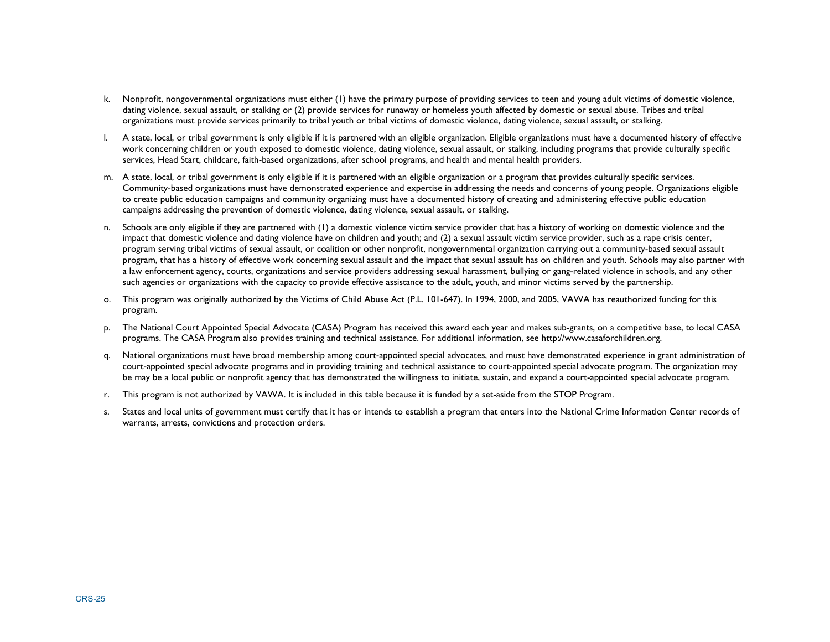- k. Nonprofit, nongovernmental organizations must either (1) have the primary purpose of providing services to teen and young adult victims of domestic violence, dating violence, sexual assault, or stalking or (2) provide services for runaway or homeless youth affected by domestic or sexual abuse. Tribes and tribal organizations must provide services primarily to tribal youth or tribal victims of domestic violence, dating violence, sexual assault, or stalking.
- l. A state, local, or tribal government is only eligible if it is partnered with an eligible organization. Eligible organizations must have a documented history of effective work concerning children or youth exposed to domestic violence, dating violence, sexual assault, or stalking, including programs that provide culturally specific services, Head Start, childcare, faith-based organizations, after school programs, and health and mental health providers.
- m. A state, local, or tribal government is only eligible if it is partnered with an eligible organization or a program that provides culturally specific services. Community-based organizations must have demonstrated experience and expertise in addressing the needs and concerns of young people. Organizations eligible to create public education campaigns and community organizing must have a documented history of creating and administering effective public education campaigns addressing the prevention of domestic violence, dating violence, sexual assault, or stalking.
- n. Schools are only eligible if they are partnered with (1) a domestic violence victim service provider that has a history of working on domestic violence and the impact that domestic violence and dating violence have on children and youth; and (2) a sexual assault victim service provider, such as a rape crisis center, program serving tribal victims of sexual assault, or coalition or other nonprofit, nongovernmental organization carrying out a community-based sexual assault program, that has a history of effective work concerning sexual assault and the impact that sexual assault has on children and youth. Schools may also partner with a law enforcement agency, courts, organizations and service providers addressing sexual harassment, bullying or gang-related violence in schools, and any other such agencies or organizations with the capacity to provide effective assistance to the adult, youth, and minor victims served by the partnership.
- o. This program was originally authorized by the Victims of Child Abuse Act (P.L. 101-647). In 1994, 2000, and 2005, VAWA has reauthorized funding for this program.
- p. The National Court Appointed Special Advocate (CASA) Program has received this award each year and makes sub-grants, on a competitive base, to local CASA programs. The CASA Program also provides training and technical assistance. For additional information, see http://www.casaforchildren.org.
- q. National organizations must have broad membership among court-appointed special advocates, and must have demonstrated experience in grant administration of court-appointed special advocate programs and in providing training and technical assistance to court-appointed special advocate program. The organization may be may be a local public or nonprofit agency that has demonstrated the willingness to initiate, sustain, and expand a court-appointed special advocate program.
- r. This program is not authorized by VAWA. It is included in this table because it is funded by a set-aside from the STOP Program.
- s. States and local units of government must certify that it has or intends to establish a program that enters into the National Crime Information Center records of warrants, arrests, convictions and protection orders.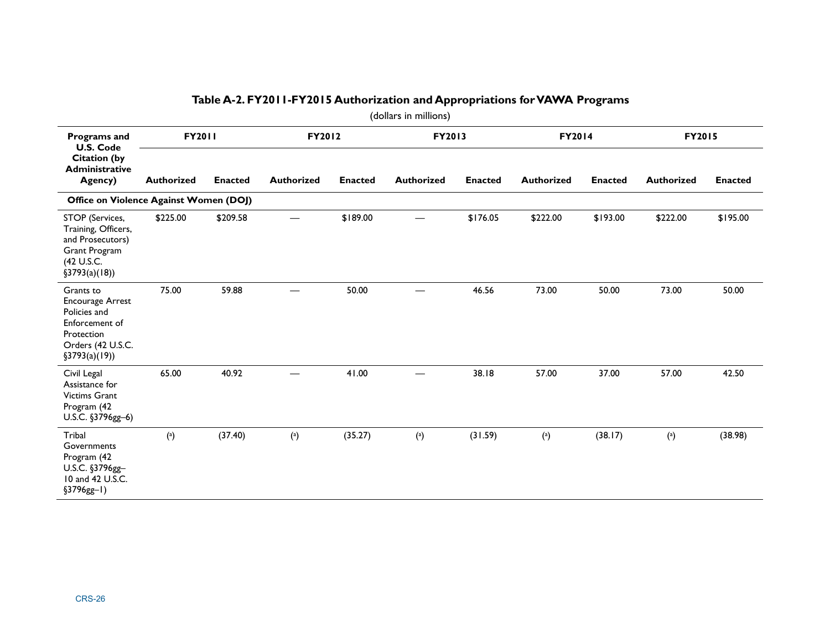|                                                                                                                              |                                                     |                |                                                     |                | (dollars in millions)                               |                |                                                     |                |                                                     |                |
|------------------------------------------------------------------------------------------------------------------------------|-----------------------------------------------------|----------------|-----------------------------------------------------|----------------|-----------------------------------------------------|----------------|-----------------------------------------------------|----------------|-----------------------------------------------------|----------------|
| <b>Programs</b> and<br>U.S. Code                                                                                             | <b>FY2011</b>                                       |                | FY2012                                              |                | FY2013                                              |                | FY2014                                              |                | <b>FY2015</b>                                       |                |
| <b>Citation</b> (by<br><b>Administrative</b><br>Agency)                                                                      | <b>Authorized</b>                                   | <b>Enacted</b> | <b>Authorized</b>                                   | <b>Enacted</b> | <b>Authorized</b>                                   | <b>Enacted</b> | <b>Authorized</b>                                   | <b>Enacted</b> | <b>Authorized</b>                                   | <b>Enacted</b> |
| Office on Violence Against Women (DOJ)                                                                                       |                                                     |                |                                                     |                |                                                     |                |                                                     |                |                                                     |                |
| STOP (Services,<br>Training, Officers,<br>and Prosecutors)<br><b>Grant Program</b><br>(42 U.S.C.<br>$\frac{2}{3}3793(a)(18)$ | \$225.00                                            | \$209.58       |                                                     | \$189.00       | $\hspace{0.05cm}$                                   | \$176.05       | \$222.00                                            | \$193.00       | \$222.00                                            | \$195.00       |
| Grants to<br><b>Encourage Arrest</b><br>Policies and<br>Enforcement of<br>Protection<br>Orders (42 U.S.C.<br>\$3793(a)(19)   | 75.00                                               | 59.88          |                                                     | 50.00          |                                                     | 46.56          | 73.00                                               | 50.00          | 73.00                                               | 50.00          |
| Civil Legal<br>Assistance for<br>Victims Grant<br>Program (42<br>U.S.C. §3796gg-6)                                           | 65.00                                               | 40.92          |                                                     | 41.00          |                                                     | 38.18          | 57.00                                               | 37.00          | 57.00                                               | 42.50          |
| Tribal<br>Governments<br>Program (42<br>U.S.C. §3796gg-<br>10 and 42 U.S.C.<br>$$3796gg-1)$                                  | $\left( \begin{matrix} a \\ c \end{matrix} \right)$ | (37.40)        | $\left( \begin{matrix} a \\ c \end{matrix} \right)$ | (35.27)        | $\left( \begin{matrix} a \\ c \end{matrix} \right)$ | (31.59)        | $\left( \begin{matrix} a \\ c \end{matrix} \right)$ | (38.17)        | $\left( \begin{matrix} a \\ c \end{matrix} \right)$ | (38.98)        |

#### **Table A-2. FY2011-FY2015 Authorization and Appropriations for VAWA Programs**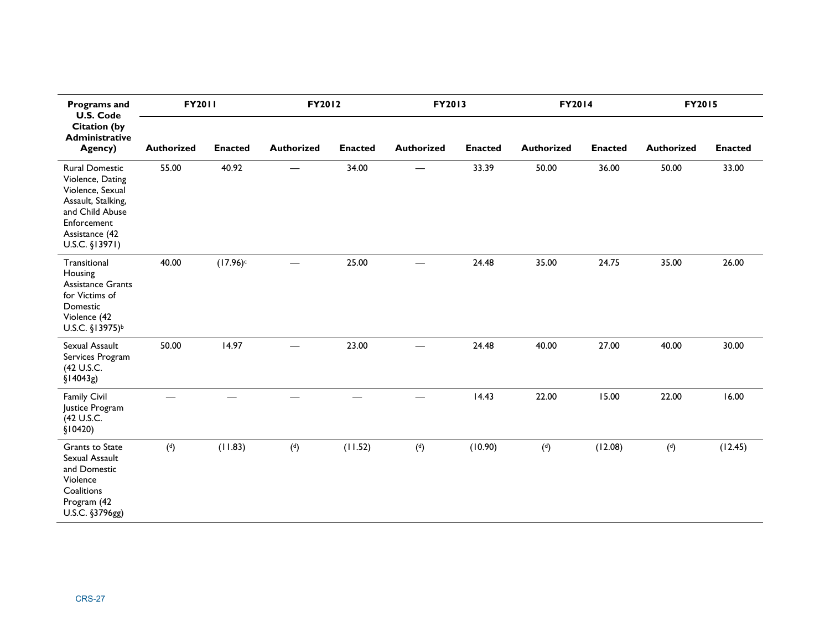| <b>Programs</b> and<br><b>U.S. Code</b>                                                                                                                   | <b>FY2011</b>     |                | FY2012            |                | FY2013            |                | FY2014            |                | FY2015            |                |
|-----------------------------------------------------------------------------------------------------------------------------------------------------------|-------------------|----------------|-------------------|----------------|-------------------|----------------|-------------------|----------------|-------------------|----------------|
| <b>Citation</b> (by<br><b>Administrative</b><br>Agency)                                                                                                   | <b>Authorized</b> | <b>Enacted</b> | <b>Authorized</b> | <b>Enacted</b> | <b>Authorized</b> | <b>Enacted</b> | <b>Authorized</b> | <b>Enacted</b> | <b>Authorized</b> | <b>Enacted</b> |
| <b>Rural Domestic</b><br>Violence, Dating<br>Violence, Sexual<br>Assault, Stalking,<br>and Child Abuse<br>Enforcement<br>Assistance (42<br>U.S.C. §13971) | 55.00             | 40.92          |                   | 34.00          |                   | 33.39          | 50.00             | 36.00          | 50.00             | 33.00          |
| Transitional<br>Housing<br><b>Assistance Grants</b><br>for Victims of<br>Domestic<br>Violence (42<br>U.S.C. §13975) <sup>b</sup>                          | 40.00             | (17.96)c       |                   | 25.00          |                   | 24.48          | 35.00             | 24.75          | 35.00             | 26.00          |
| Sexual Assault<br>Services Program<br>(42 U.S.C.<br>\$14043g)                                                                                             | 50.00             | 14.97          |                   | 23.00          |                   | 24.48          | 40.00             | 27.00          | 40.00             | 30.00          |
| <b>Family Civil</b><br>Justice Program<br>(42 U.S.C.<br>\$10420)                                                                                          |                   |                |                   |                |                   | 14.43          | 22.00             | 15.00          | 22.00             | 16.00          |
| Grants to State<br>Sexual Assault<br>and Domestic<br>Violence<br>Coalitions<br>Program (42<br>U.S.C. §3796gg)                                             | $\binom{d}{ }$    | (11.83)        | $\binom{d}{ }$    | (11.52)        | $\binom{d}{ }$    | (10.90)        | $\binom{d}{ }$    | (12.08)        | $\binom{d}{ }$    | (12.45)        |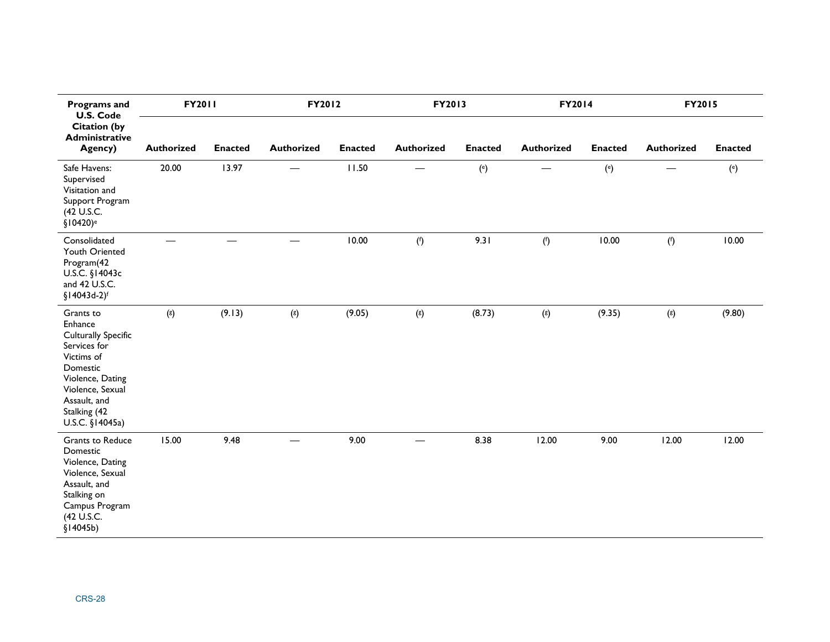| Programs and<br>U.S. Code                                                                                                                                                               | <b>FY2011</b>     |                | FY2012            |                | FY2013            |                | FY2014            |                | FY2015            |                |
|-----------------------------------------------------------------------------------------------------------------------------------------------------------------------------------------|-------------------|----------------|-------------------|----------------|-------------------|----------------|-------------------|----------------|-------------------|----------------|
| <b>Citation</b> (by<br><b>Administrative</b><br>Agency)                                                                                                                                 | <b>Authorized</b> | <b>Enacted</b> | <b>Authorized</b> | <b>Enacted</b> | <b>Authorized</b> | <b>Enacted</b> | <b>Authorized</b> | <b>Enacted</b> | <b>Authorized</b> | <b>Enacted</b> |
| Safe Havens:<br>Supervised<br>Visitation and<br>Support Program<br>(42 U.S.C.<br>$$10420$ ) <sup>e</sup>                                                                                | 20.00             | 13.97          |                   | 11.50          |                   | (e)            |                   | (e)            |                   | (e)            |
| Consolidated<br>Youth Oriented<br>Program(42<br>U.S.C. §14043c<br>and 42 U.S.C.<br>§14043d-2)f                                                                                          |                   |                |                   | 10.00          | (1)               | 9.31           | (1)               | 10.00          | (1)               | 10.00          |
| Grants to<br>Enhance<br><b>Culturally Specific</b><br>Services for<br>Victims of<br>Domestic<br>Violence, Dating<br>Violence, Sexual<br>Assault, and<br>Stalking (42<br>U.S.C. §14045a) | (8)               | (9.13)         | (8)               | (9.05)         | (8)               | (8.73)         | (8)               | (9.35)         | $(\xi)$           | (9.80)         |
| <b>Grants to Reduce</b><br>Domestic<br>Violence, Dating<br>Violence, Sexual<br>Assault, and<br>Stalking on<br>Campus Program<br>(42 U.S.C.<br>\$14045b)                                 | 15.00             | 9.48           |                   | 9.00           |                   | 8.38           | 12.00             | 9.00           | 12.00             | 12.00          |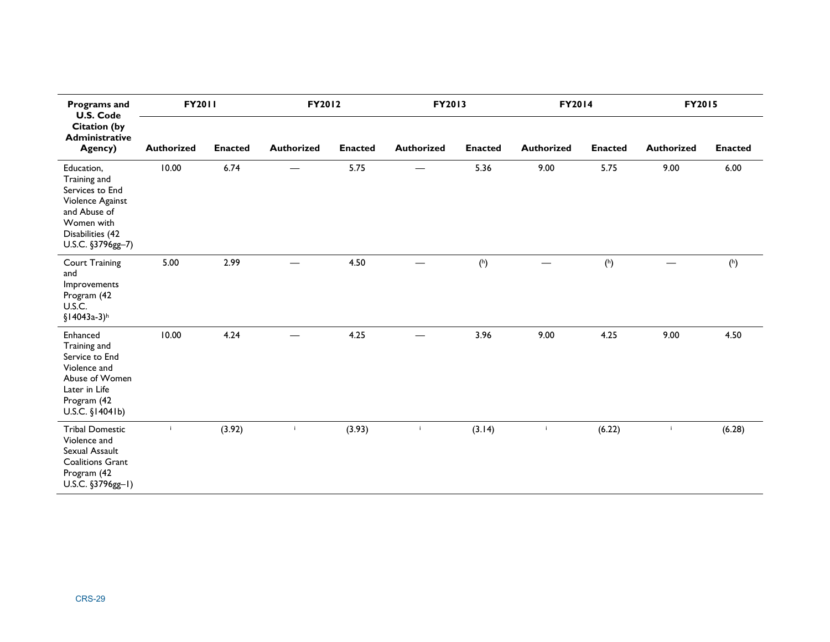| Programs and<br>U.S. Code                                                                                                                | <b>FY2011</b>     |                | FY2012            |                | FY2013            |                | <b>FY2014</b>     |                | FY2015            |                |
|------------------------------------------------------------------------------------------------------------------------------------------|-------------------|----------------|-------------------|----------------|-------------------|----------------|-------------------|----------------|-------------------|----------------|
| <b>Citation</b> (by<br><b>Administrative</b><br>Agency)                                                                                  | <b>Authorized</b> | <b>Enacted</b> | <b>Authorized</b> | <b>Enacted</b> | <b>Authorized</b> | <b>Enacted</b> | <b>Authorized</b> | <b>Enacted</b> | <b>Authorized</b> | <b>Enacted</b> |
| Education,<br>Training and<br>Services to End<br>Violence Against<br>and Abuse of<br>Women with<br>Disabilities (42<br>U.S.C. §3796gg-7) | 10.00             | 6.74           |                   | 5.75           |                   | 5.36           | 9.00              | 5.75           | 9.00              | 6.00           |
| <b>Court Training</b><br>and<br>Improvements<br>Program (42<br>U.S.C.<br>§14043a-3)h                                                     | 5.00              | 2.99           |                   | 4.50           |                   | (h)            |                   | (h)            |                   | (h)            |
| Enhanced<br>Training and<br>Service to End<br>Violence and<br>Abuse of Women<br>Later in Life<br>Program (42<br>U.S.C. §14041b)          | 10.00             | 4.24           |                   | 4.25           |                   | 3.96           | 9.00              | 4.25           | 9.00              | 4.50           |
| <b>Tribal Domestic</b><br>Violence and<br>Sexual Assault<br><b>Coalitions Grant</b><br>Program (42<br>U.S.C. §3796gg-1)                  | $\mathbf{i}$      | (3.92)         | -i.               | (3.93)         | j.                | (3.14)         | $\mathbf{i}$      | (6.22)         | i.                | (6.28)         |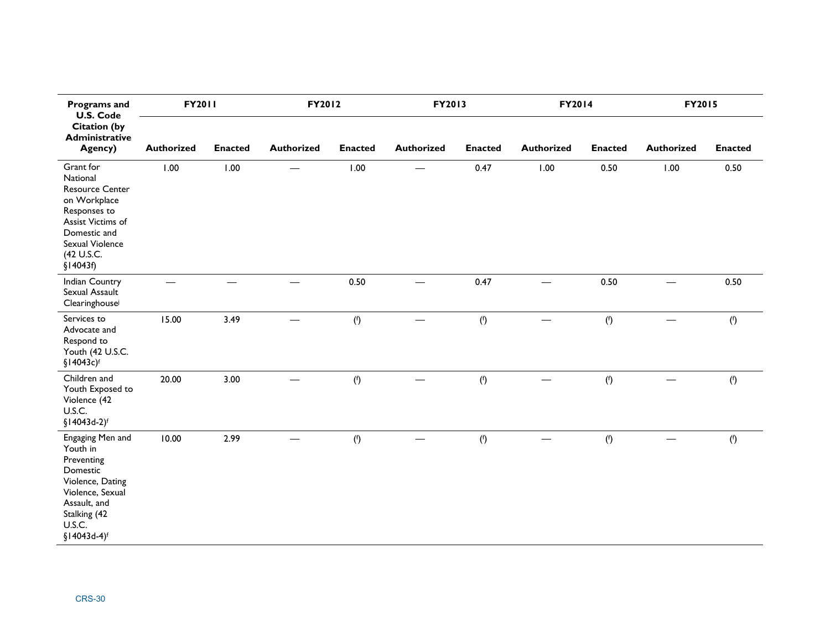| <b>Programs</b> and<br>U.S. Code<br><b>Citation</b> (by<br><b>Administrative</b><br>Agency)                                                                       | <b>FY2011</b>     |                | FY2012            |                | FY2013            |                | FY2014            |                                                                   | FY2015            |                |
|-------------------------------------------------------------------------------------------------------------------------------------------------------------------|-------------------|----------------|-------------------|----------------|-------------------|----------------|-------------------|-------------------------------------------------------------------|-------------------|----------------|
|                                                                                                                                                                   | <b>Authorized</b> | <b>Enacted</b> | <b>Authorized</b> | <b>Enacted</b> | <b>Authorized</b> | <b>Enacted</b> | <b>Authorized</b> | <b>Enacted</b>                                                    | <b>Authorized</b> | <b>Enacted</b> |
| Grant for<br>National<br><b>Resource Center</b><br>on Workplace<br>Responses to<br>Assist Victims of<br>Domestic and<br>Sexual Violence<br>(42 U.S.C.<br>\$14043f | 1.00              | 1.00           |                   | 1.00           |                   | 0.47           | 1.00              | 0.50                                                              | 1.00              | 0.50           |
| Indian Country<br>Sexual Assault<br>Clearinghousei                                                                                                                |                   |                |                   | 0.50           |                   | 0.47           |                   | 0.50                                                              |                   | 0.50           |
| Services to<br>Advocate and<br>Respond to<br>Youth (42 U.S.C.<br>§14043c)f                                                                                        | 15.00             | 3.49           |                   | (1)            |                   | (1)            |                   | $\left(\begin{smallmatrix} \mathfrak{f} \end{smallmatrix}\right)$ |                   | (1)            |
| Children and<br>Youth Exposed to<br>Violence (42<br>U.S.C.<br>§14043d-2)f                                                                                         | 20.00             | 3.00           |                   | (f)            |                   | (1)            |                   | (f)                                                               |                   | (1)            |
| Engaging Men and<br>Youth in<br>Preventing<br>Domestic<br>Violence, Dating<br>Violence, Sexual<br>Assault, and<br>Stalking (42<br>U.S.C.<br>§14043d-4)f           | 10.00             | 2.99           |                   | (1)            |                   | (1)            |                   | (f)                                                               |                   | (1)            |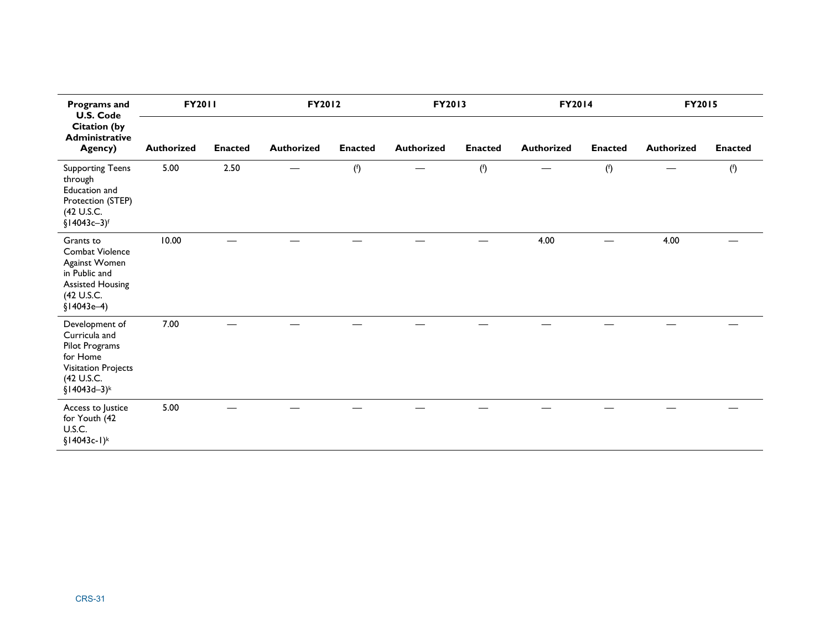| <b>Programs</b> and<br>U.S. Code                                                                                                 | <b>FY2011</b>     |                | FY2012            |                |                   | FY2013         |                   | FY2014         | FY2015            |                |
|----------------------------------------------------------------------------------------------------------------------------------|-------------------|----------------|-------------------|----------------|-------------------|----------------|-------------------|----------------|-------------------|----------------|
| <b>Citation</b> (by<br><b>Administrative</b><br>Agency)                                                                          | <b>Authorized</b> | <b>Enacted</b> | <b>Authorized</b> | <b>Enacted</b> | <b>Authorized</b> | <b>Enacted</b> | <b>Authorized</b> | <b>Enacted</b> | <b>Authorized</b> | <b>Enacted</b> |
| <b>Supporting Teens</b><br>through<br><b>Education</b> and<br>Protection (STEP)<br>(42 U.S.C.<br>§14043c-3)f                     | 5.00              | 2.50           |                   | $($ f $)$      |                   | $($ f $)$      |                   | $(f)$          |                   | $($ f $)$      |
| Grants to<br><b>Combat Violence</b><br>Against Women<br>in Public and<br><b>Assisted Housing</b><br>(42 U.S.C.<br>$$14043e-4)$   | 10.00             |                |                   |                |                   |                | 4.00              |                | 4.00              |                |
| Development of<br>Curricula and<br>Pilot Programs<br>for Home<br>Visitation Projects<br>(42 U.S.C.<br>$$14043d - 3$ <sup>k</sup> | 7.00              |                |                   |                |                   |                |                   |                |                   |                |
| Access to Justice<br>for Youth (42<br>U.S.C.<br>$$14043c-1$ <sup>k</sup>                                                         | 5.00              |                |                   |                |                   |                |                   |                |                   |                |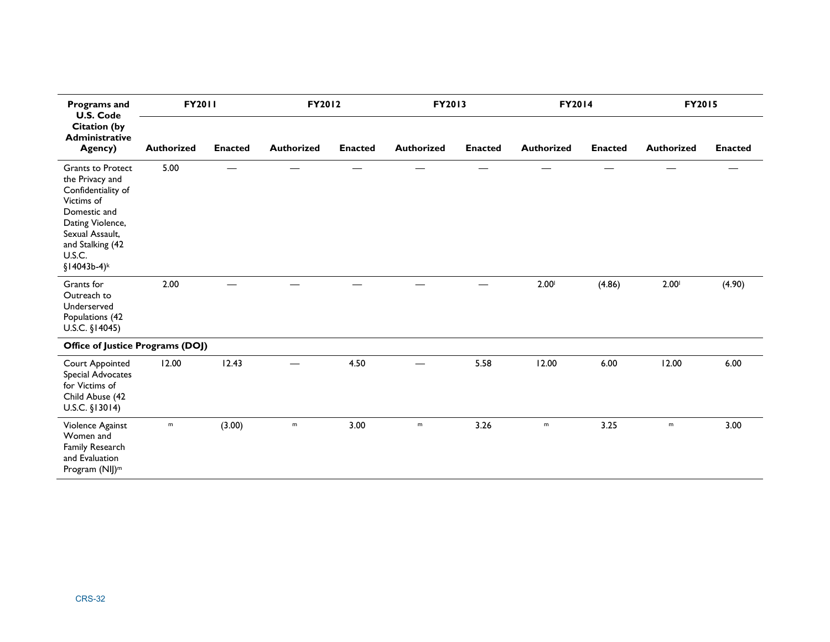| <b>Programs</b> and<br>U.S. Code                                                                                                                                                   | <b>FY2011</b>     |                | FY2012            |                | FY2013            |                | FY2014            |                | FY2015            |                |
|------------------------------------------------------------------------------------------------------------------------------------------------------------------------------------|-------------------|----------------|-------------------|----------------|-------------------|----------------|-------------------|----------------|-------------------|----------------|
| <b>Citation</b> (by<br><b>Administrative</b><br>Agency)                                                                                                                            | <b>Authorized</b> | <b>Enacted</b> | <b>Authorized</b> | <b>Enacted</b> | <b>Authorized</b> | <b>Enacted</b> | <b>Authorized</b> | <b>Enacted</b> | <b>Authorized</b> | <b>Enacted</b> |
| <b>Grants to Protect</b><br>the Privacy and<br>Confidentiality of<br>Victims of<br>Domestic and<br>Dating Violence,<br>Sexual Assault,<br>and Stalking (42<br>U.S.C.<br>§14043b-4) | 5.00              |                |                   |                |                   |                |                   |                |                   |                |
| Grants for<br>Outreach to<br>Underserved<br>Populations (42<br>U.S.C. $§$ 14045)                                                                                                   | 2.00              |                |                   |                |                   |                | 2.00 <sup>1</sup> | (4.86)         | 2.00 <sup>1</sup> | (4.90)         |
| Office of Justice Programs (DOJ)                                                                                                                                                   |                   |                |                   |                |                   |                |                   |                |                   |                |
| Court Appointed<br>Special Advocates<br>for Victims of<br>Child Abuse (42<br>$U.S.C.$ §13014)                                                                                      | 12.00             | 12.43          |                   | 4.50           |                   | 5.58           | 12.00             | 6.00           | 12.00             | 6.00           |
| Violence Against<br>Women and<br>Family Research<br>and Evaluation<br>Program (NIJ) <sup>m</sup>                                                                                   | m                 | (3.00)         | ${\sf m}$         | 3.00           | m                 | 3.26           | ${\sf m}$         | 3.25           | ${\sf m}$         | 3.00           |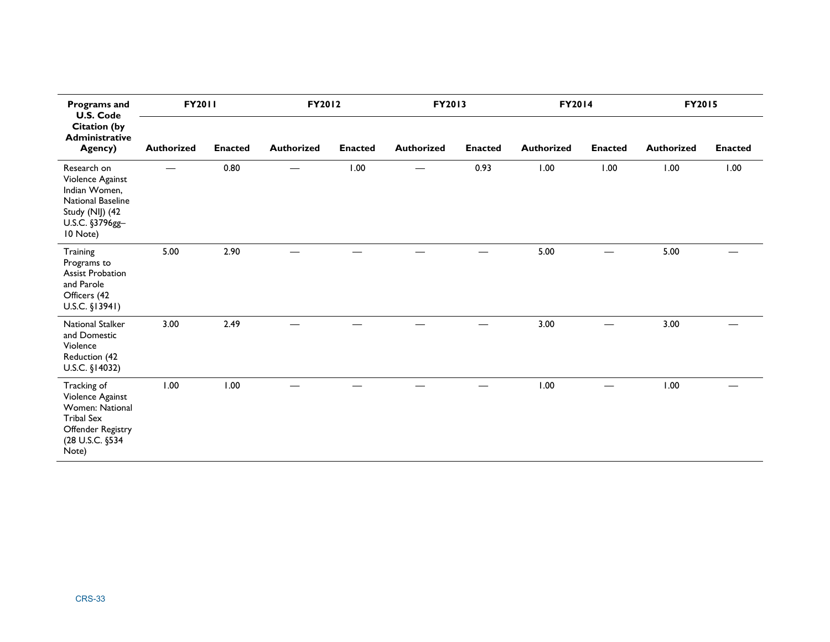| Programs and<br><b>U.S. Code</b>                                                                                                | <b>FY2011</b>     |                | FY2012            |                | FY2013            |                | <b>FY2014</b>     |                | <b>FY2015</b>     |                |
|---------------------------------------------------------------------------------------------------------------------------------|-------------------|----------------|-------------------|----------------|-------------------|----------------|-------------------|----------------|-------------------|----------------|
| <b>Citation</b> (by<br><b>Administrative</b><br>Agency)                                                                         | <b>Authorized</b> | <b>Enacted</b> | <b>Authorized</b> | <b>Enacted</b> | <b>Authorized</b> | <b>Enacted</b> | <b>Authorized</b> | <b>Enacted</b> | <b>Authorized</b> | <b>Enacted</b> |
| Research on<br>Violence Against<br>Indian Women,<br><b>National Baseline</b><br>Study (NIJ) (42<br>U.S.C. §3796gg-<br>10 Note)  |                   | 0.80           |                   | 1.00           |                   | 0.93           | 1.00              | 1.00           | 1.00              | 1.00           |
| Training<br>Programs to<br><b>Assist Probation</b><br>and Parole<br>Officers (42<br>U.S.C. §13941)                              | 5.00              | 2.90           |                   |                |                   |                | 5.00              |                | 5.00              |                |
| <b>National Stalker</b><br>and Domestic<br>Violence<br>Reduction (42<br>U.S.C. §14032)                                          | 3.00              | 2.49           |                   |                |                   |                | 3.00              |                | 3.00              |                |
| Tracking of<br>Violence Against<br><b>Women: National</b><br><b>Tribal Sex</b><br>Offender Registry<br>(28 U.S.C. §534<br>Note) | 1.00              | 1.00           |                   |                |                   |                | 1.00              |                | 1.00              |                |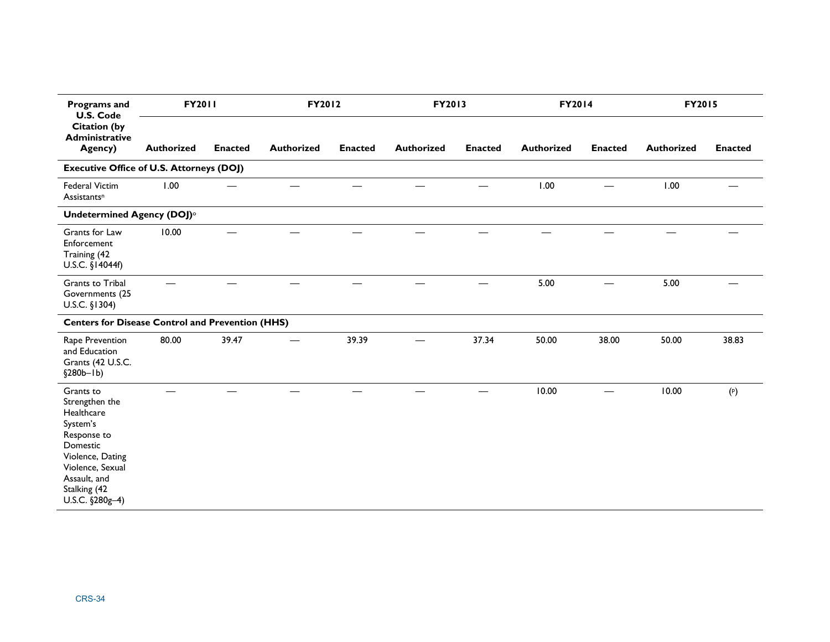| <b>Programs</b> and<br>U.S. Code                                                                                                                                            | <b>FY2011</b>     |                | FY2012            |                | FY2013            |                | FY2014            |                | FY2015            |                |
|-----------------------------------------------------------------------------------------------------------------------------------------------------------------------------|-------------------|----------------|-------------------|----------------|-------------------|----------------|-------------------|----------------|-------------------|----------------|
| <b>Citation</b> (by<br><b>Administrative</b><br>Agency)                                                                                                                     | <b>Authorized</b> | <b>Enacted</b> | <b>Authorized</b> | <b>Enacted</b> | <b>Authorized</b> | <b>Enacted</b> | <b>Authorized</b> | <b>Enacted</b> | <b>Authorized</b> | <b>Enacted</b> |
| <b>Executive Office of U.S. Attorneys (DOJ)</b>                                                                                                                             |                   |                |                   |                |                   |                |                   |                |                   |                |
| <b>Federal Victim</b><br><b>Assistants</b> <sup>n</sup>                                                                                                                     | 1.00              | —              |                   |                |                   |                | 1.00              |                | 1.00              |                |
| <b>Undetermined Agency (DOJ)</b> <sup>o</sup>                                                                                                                               |                   |                |                   |                |                   |                |                   |                |                   |                |
| Grants for Law<br>Enforcement<br>Training (42<br>U.S.C. §14044f)                                                                                                            | 10.00             |                |                   |                |                   |                |                   |                |                   |                |
| Grants to Tribal<br>Governments (25<br>U.S.C. §1304)                                                                                                                        |                   |                |                   |                |                   |                | 5.00              |                | 5.00              |                |
| <b>Centers for Disease Control and Prevention (HHS)</b>                                                                                                                     |                   |                |                   |                |                   |                |                   |                |                   |                |
| Rape Prevention<br>and Education<br>Grants (42 U.S.C.<br>$$280b-1b)$                                                                                                        | 80.00             | 39.47          |                   | 39.39          |                   | 37.34          | 50.00             | 38.00          | 50.00             | 38.83          |
| Grants to<br>Strengthen the<br>Healthcare<br>System's<br>Response to<br>Domestic<br>Violence, Dating<br>Violence, Sexual<br>Assault, and<br>Stalking (42<br>U.S.C. §280g-4) |                   |                |                   |                |                   |                | 10.00             |                | 10.00             | (P)            |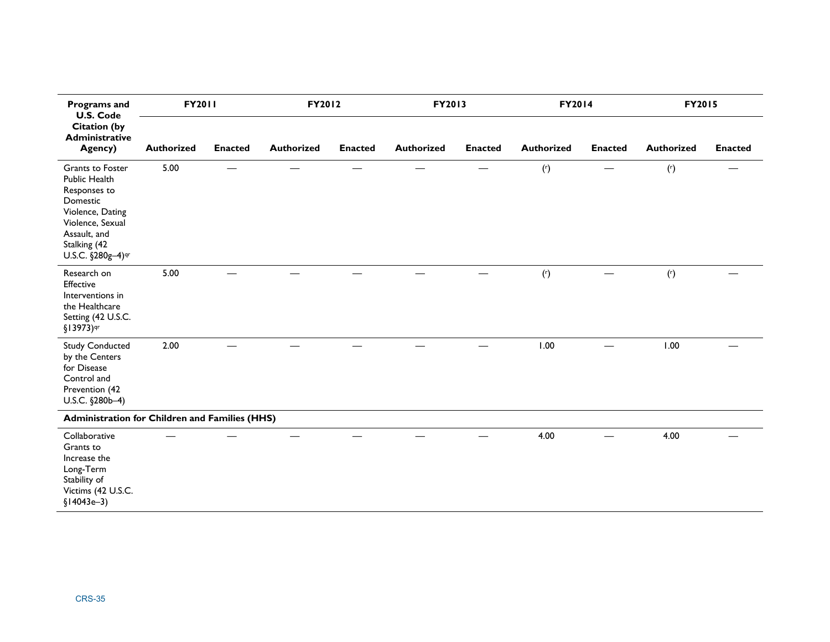| <b>Programs</b> and<br>U.S. Code<br><b>Citation</b> (by<br><b>Administrative</b><br>Agency)                                                                       | FY2011            |                | FY2012            |                | FY2013            |                | FY2014            |                | FY2015            |                |
|-------------------------------------------------------------------------------------------------------------------------------------------------------------------|-------------------|----------------|-------------------|----------------|-------------------|----------------|-------------------|----------------|-------------------|----------------|
|                                                                                                                                                                   | <b>Authorized</b> | <b>Enacted</b> | <b>Authorized</b> | <b>Enacted</b> | <b>Authorized</b> | <b>Enacted</b> | <b>Authorized</b> | <b>Enacted</b> | <b>Authorized</b> | <b>Enacted</b> |
| Grants to Foster<br><b>Public Health</b><br>Responses to<br>Domestic<br>Violence, Dating<br>Violence, Sexual<br>Assault, and<br>Stalking (42<br>U.S.C. §280g-4)qr | 5.00              |                |                   |                |                   |                | (r)               |                | (r)               |                |
| Research on<br>Effective<br>Interventions in<br>the Healthcare<br>Setting (42 U.S.C.<br>§13973)qr                                                                 | 5.00              |                |                   |                |                   |                | (r)               |                | (r)               |                |
| <b>Study Conducted</b><br>by the Centers<br>for Disease<br>Control and<br>Prevention (42<br>U.S.C. §280b-4)                                                       | 2.00              |                |                   |                |                   |                | 1.00              |                | 1.00              |                |
| <b>Administration for Children and Families (HHS)</b>                                                                                                             |                   |                |                   |                |                   |                |                   |                |                   |                |
| Collaborative<br>Grants to<br>Increase the<br>Long-Term<br>Stability of<br>Victims (42 U.S.C.<br>$$14043e-3)$                                                     |                   |                |                   |                |                   |                | 4.00              |                | 4.00              |                |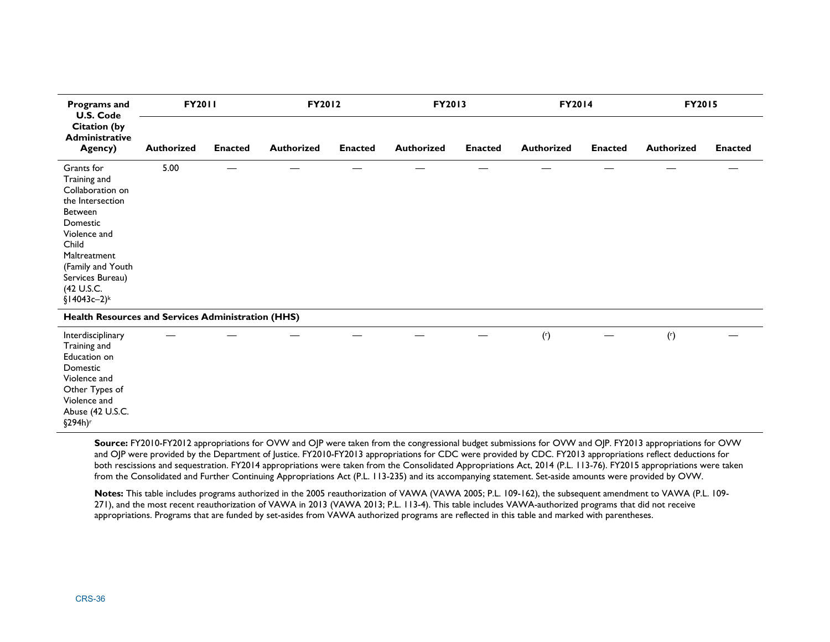| <b>Programs</b> and<br>U.S. Code                                                                                                                                                                                      | <b>FY2011</b>     |                | FY2012            |                | FY2013            |                | <b>FY2014</b>     |                | <b>FY2015</b>     |                |
|-----------------------------------------------------------------------------------------------------------------------------------------------------------------------------------------------------------------------|-------------------|----------------|-------------------|----------------|-------------------|----------------|-------------------|----------------|-------------------|----------------|
| <b>Citation</b> (by<br><b>Administrative</b><br>Agency)                                                                                                                                                               | <b>Authorized</b> | <b>Enacted</b> | <b>Authorized</b> | <b>Enacted</b> | <b>Authorized</b> | <b>Enacted</b> | <b>Authorized</b> | <b>Enacted</b> | <b>Authorized</b> | <b>Enacted</b> |
| Grants for<br>Training and<br>Collaboration on<br>the Intersection<br>Between<br>Domestic<br>Violence and<br>Child<br>Maltreatment<br>(Family and Youth<br>Services Bureau)<br>(42 U.S.C.<br>$$14043c-2$ <sup>k</sup> | 5.00              |                |                   |                |                   |                |                   |                |                   |                |
| Health Resources and Services Administration (HHS)                                                                                                                                                                    |                   |                |                   |                |                   |                |                   |                |                   |                |
| Interdisciplinary<br>Training and<br>Education on<br>Domestic<br>Violence and<br>Other Types of<br>Violence and<br>Abuse (42 U.S.C.<br>§294h) <sup>r</sup>                                                            |                   |                |                   |                |                   |                | (r)               |                | (r)               |                |

**Source:** FY2010-FY2012 appropriations for OVW and OJP were taken from the congressional budget submissions for OVW and OJP. FY2013 appropriations for OVW and OJP were provided by the Department of Justice. FY2010-FY2013 appropriations for CDC were provided by CDC. FY2013 appropriations reflect deductions for both rescissions and sequestration. FY2014 appropriations were taken from the Consolidated Appropriations Act, 2014 (P.L. 113-76). FY2015 appropriations were taken from the Consolidated and Further Continuing Appropriations Act (P.L. 113-235) and its accompanying statement. Set-aside amounts were provided by OVW.

**Notes:** This table includes programs authorized in the 2005 reauthorization of VAWA (VAWA 2005; P.L. 109-162), the subsequent amendment to VAWA (P.L. 109- 271), and the most recent reauthorization of VAWA in 2013 (VAWA 2013; P.L. 113-4). This table includes VAWA-authorized programs that did not receive appropriations. Programs that are funded by set-asides from VAWA authorized programs are reflected in this table and marked with parentheses.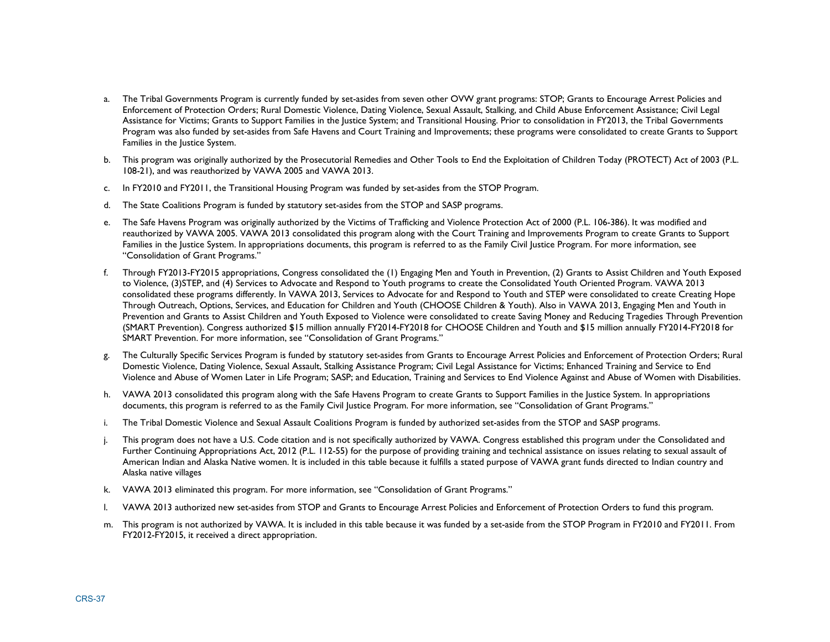- a. The Tribal Governments Program is currently funded by set-asides from seven other OVW grant programs: STOP; Grants to Encourage Arrest Policies and Enforcement of Protection Orders; Rural Domestic Violence, Dating Violence, Sexual Assault, Stalking, and Child Abuse Enforcement Assistance; Civil Legal Assistance for Victims; Grants to Support Families in the Justice System; and Transitional Housing. Prior to consolidation in FY2013, the Tribal Governments Program was also funded by set-asides from Safe Havens and Court Training and Improvements; these programs were consolidated to create Grants to Support Families in the Justice System.
- b. This program was originally authorized by the Prosecutorial Remedies and Other Tools to End the Exploitation of Children Today (PROTECT) Act of 2003 (P.L. 108-21), and was reauthorized by VAWA 2005 and VAWA 2013.
- c. In FY2010 and FY2011, the Transitional Housing Program was funded by set-asides from the STOP Program.
- d. The State Coalitions Program is funded by statutory set-asides from the STOP and SASP programs.
- e. The Safe Havens Program was originally authorized by the Victims of Trafficking and Violence Protection Act of 2000 (P.L. 106-386). It was modified and reauthorized by VAWA 2005. VAWA 2013 consolidated this program along with the Court Training and Improvements Program to create Grants to Support Families in the Justice System. In appropriations documents, this program is referred to as the Family Civil Justice Program. For more information, see "Consolidation of Grant Programs."
- f. Through FY2013-FY2015 appropriations, Congress consolidated the (1) Engaging Men and Youth in Prevention, (2) Grants to Assist Children and Youth Exposed to Violence, (3)STEP, and (4) Services to Advocate and Respond to Youth programs to create the Consolidated Youth Oriented Program. VAWA 2013 consolidated these programs differently. In VAWA 2013, Services to Advocate for and Respond to Youth and STEP were consolidated to create Creating Hope Through Outreach, Options, Services, and Education for Children and Youth (CHOOSE Children & Youth). Also in VAWA 2013, Engaging Men and Youth in Prevention and Grants to Assist Children and Youth Exposed to Violence were consolidated to create Saving Money and Reducing Tragedies Through Prevention (SMART Prevention). Congress authorized \$15 million annually FY2014-FY2018 for CHOOSE Children and Youth and \$15 million annually FY2014-FY2018 for SMART Prevention. For more information, see "Consolidation of Grant Programs."
- g. The Culturally Specific Services Program is funded by statutory set-asides from Grants to Encourage Arrest Policies and Enforcement of Protection Orders; Rural Domestic Violence, Dating Violence, Sexual Assault, Stalking Assistance Program; Civil Legal Assistance for Victims; Enhanced Training and Service to End Violence and Abuse of Women Later in Life Program; SASP; and Education, Training and Services to End Violence Against and Abuse of Women with Disabilities.
- h. VAWA 2013 consolidated this program along with the Safe Havens Program to create Grants to Support Families in the Justice System. In appropriations documents, this program is referred to as the Family Civil Justice Program. For more information, see "Consolidation of Grant Programs."
- i. The Tribal Domestic Violence and Sexual Assault Coalitions Program is funded by authorized set-asides from the STOP and SASP programs.
- j. This program does not have a U.S. Code citation and is not specifically authorized by VAWA. Congress established this program under the Consolidated and Further Continuing Appropriations Act, 2012 (P.L. 112-55) for the purpose of providing training and technical assistance on issues relating to sexual assault of American Indian and Alaska Native women. It is included in this table because it fulfills a stated purpose of VAWA grant funds directed to Indian country and Alaska native villages
- k. VAWA 2013 eliminated this program. For more information, see "Consolidation of Grant Programs."
- l. VAWA 2013 authorized new set-asides from STOP and Grants to Encourage Arrest Policies and Enforcement of Protection Orders to fund this program.
- m. This program is not authorized by VAWA. It is included in this table because it was funded by a set-aside from the STOP Program in FY2010 and FY2011. From FY2012-FY2015, it received a direct appropriation.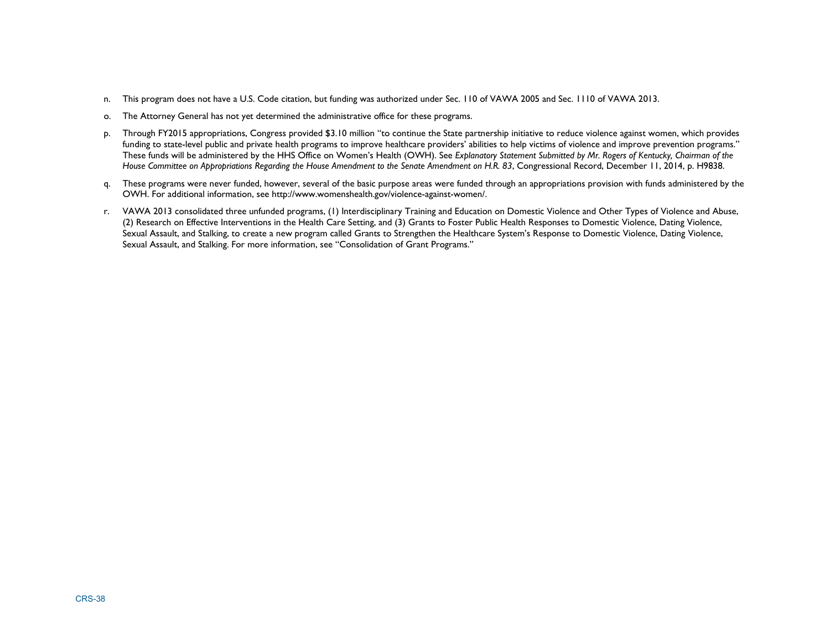- n. This program does not have a U.S. Code citation, but funding was authorized under Sec. 110 of VAWA 2005 and Sec. 1110 of VAWA 2013.
- o.The Attorney General has not yet determined the administrative office for these programs.
- p. Through FY2015 appropriations, Congress provided \$3.10 million "to continue the State partnership initiative to reduce violence against women, which provides funding to state-level public and private health programs to improve healthcare providers' abilities to help victims of violence and improve prevention programs." These funds will be administered by the HHS Office on Women's Health (OWH). See *Explanatory Statement Submitted by Mr. Rogers of Kentucky, Chairman of the House Committee on Appropriations Regarding the House Amendment to the Senate Amendment on H.R. 83*, Congressional Record, December 11, 2014, p. H9838.
- q. These programs were never funded, however, several of the basic purpose areas were funded through an appropriations provision with funds administered by the OWH. For additional information, see http://www.womenshealth.gov/violence-against-women/.
- r. VAWA 2013 consolidated three unfunded programs, (1) Interdisciplinary Training and Education on Domestic Violence and Other Types of Violence and Abuse, (2) Research on Effective Interventions in the Health Care Setting, and (3) Grants to Foster Public Health Responses to Domestic Violence, Dating Violence, Sexual Assault, and Stalking, to create a new program called Grants to Strengthen the Healthcare System's Response to Domestic Violence, Dating Violence, Sexual Assault, and Stalking. For more information, see "Consolidation of Grant Programs."